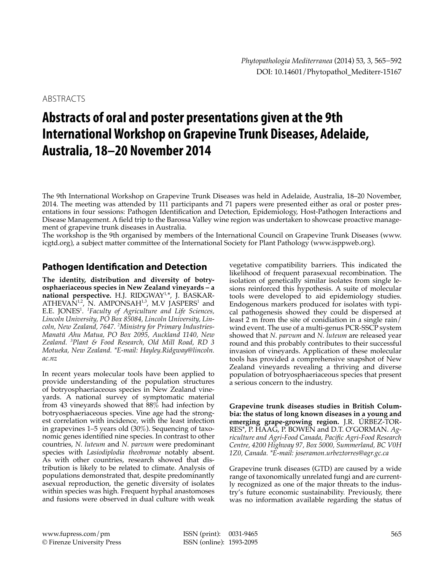ABSTRACTS

# **Abstracts of oral and poster presentations given at the 9th International Workshop on Grapevine Trunk Diseases, Adelaide, Australia, 18–20 November 2014**

The 9th International Workshop on Grapevine Trunk Diseases was held in Adelaide, Australia, 18–20 November, 2014. The meeting was attended by 111 participants and 71 papers were presented either as oral or poster presentations in four sessions: Pathogen Identification and Detection, Epidemiology, Host-Pathogen Interactions and Disease Management. A field trip to the Barossa Valley wine region was undertaken to showcase proactive management of grapevine trunk diseases in Australia.

The workshop is the 9th organised by members of the International Council on Grapevine Trunk Diseases (www. icgtd.org), a subject matter committee of the International Society for Plant Pathology (www.isppweb.org).

## **Pathogen Identification and Detection**

**The identity, distribution and diversity of botryosphaeriaceous species in New Zealand vineyards – a national perspective.** H.J. RIDGWAY1,\*, J. BASKAR- $ATHEVAN<sup>1,2</sup>$ , N. AMPONSAH<sup>1,3</sup>, M.V JASPERS<sup>1</sup> and E.E. JONES<sup>1</sup> . *1 Faculty of Agriculture and Life Sciences, Lincoln University, PO Box 85084, Lincoln University, Lincoln, New Zealand, 7647. <sup>2</sup> Ministry for Primary Industries-Manatū Ahu Matua, PO Box 2095, Auckland 1140, New Zealand. <sup>3</sup> Plant & Food Research, Old Mill Road, RD 3 Motueka, New Zealand. \*E-mail: Hayley.Ridgway@lincoln. ac.nz* 

In recent years molecular tools have been applied to provide understanding of the population structures of botryosphaeriaceous species in New Zealand vineyards. A national survey of symptomatic material from 43 vineyards showed that  $88\%$  had infection by botryosphaeriaceous species. Vine age had the strongest correlation with incidence, with the least infection in grapevines 1–5 years old (30%). Sequencing of taxonomic genes identified nine species. In contrast to other countries, *N. luteum* and *N. parvum* were predominant species with *Lasiodiplodia theobromae* notably absent. As with other countries, research showed that distribution is likely to be related to climate. Analysis of populations demonstrated that, despite predominantly asexual reproduction, the genetic diversity of isolates within species was high. Frequent hyphal anastomoses and fusions were observed in dual culture with weak

vegetative compatibility barriers. This indicated the likelihood of frequent parasexual recombination. The isolation of genetically similar isolates from single lesions reinforced this hypothesis. A suite of molecular tools were developed to aid epidemiology studies. Endogenous markers produced for isolates with typical pathogenesis showed they could be dispersed at least 2 m from the site of conidiation in a single rain/ wind event. The use of a multi-genus PCR-SSCP system showed that *N. parvum* and *N. luteum* are released year round and this probably contributes to their successful invasion of vineyards. Application of these molecular tools has provided a comprehensive snapshot of New Zealand vineyards revealing a thriving and diverse population of botryosphaeriaceous species that present a serious concern to the industry.

**Grapevine trunk diseases studies in British Columbia: the status of long known diseases in a young and emerging grape-growing region.** J.R. ÚRBEZ-TOR-RES\*, P. HAAG, P. BOWEN and D.T. O'GORMAN. *Agriculture and Agri-Food Canada, Pacific Agri-Food Research Centre, 4200 Highway 97, Box 5000, Summerland, BC V0H 1Z0, Canada. \*E-mail: joseramon.urbeztorres@agr.gc.ca*

Grapevine trunk diseases (GTD) are caused by a wide range of taxonomically unrelated fungi and are currently recognized as one of the major threats to the industry's future economic sustainability. Previously, there was no information available regarding the status of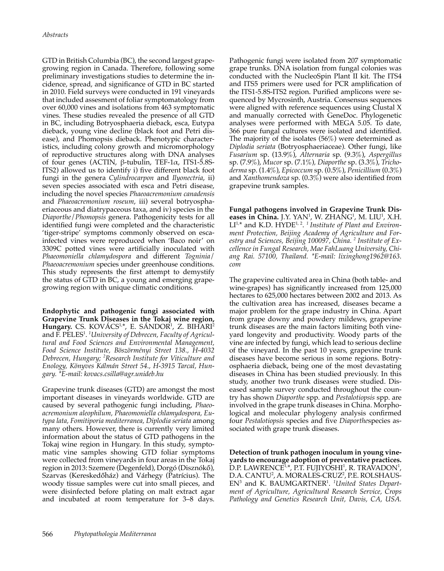GTD in British Columbia (BC), the second largest grapegrowing region in Canada. Therefore, following some preliminary investigations studies to determine the incidence, spread, and significance of GTD in BC started in 2010. Field surveys were conducted in 191 vineyards that included assesment of foliar symptomatology from over 60,000 vines and isolations from 463 symptomatic vines. These studies revealed the presence of all GTD in BC, including Botryosphaeria dieback, esca, Eutypa dieback, young vine decline (black foot and Petri disease), and Phomopsis dieback. Phenotypic characteristics, including colony growth and micromorphology of reproductive structures along with DNA analyses of four genes (ACTIN, β-tubulin, TEF-1α, ITS1-5.8S-ITS2) allowed us to identify i) five different black foot fungi in the genera *Cylindrocarpon* and *Ilyonectria*, ii) seven species associated with esca and Petri disease, including the novel species *Phaeoacremonium canadensis* and *Phaeoacremonium roseum*, iii) several botryosphaeriaceous and diatrypaceous taxa, and iv) species in the *Diaporthe*/*Phomopsis* genera. Pathogenicity tests for all identified fungi were completed and the characteristic 'tiger-stripe' symptoms commonly observed on escainfected vines were reproduced when 'Baco noir' on 3309C potted vines were artificially inoculated with *Phaeomoniella chlamydospora* and different *Togninia*/ *Phaeoacremonium* species under greenhouse conditions. This study represents the first attempt to demystify the status of GTD in BC, a young and emerging grapegrowing region with unique climatic conditions.

**Endophytic and pathogenic fungi associated with Grapevine Trunk Diseases in the Tokaj wine region, Hungary.** CS. KOVÁCS<sup>1,</sup>\*, E. SÁNDOR<sup>1</sup>, Z. BIHARI<sup>2</sup> and F. PELES<sup>1</sup> . *1 University of Debrecen, Faculty of Agricultural and Food Sciences and Environmental Management, Food Science Institute, Böszörményi Street 138., H-4032 Debrecen, Hungary; <sup>2</sup> Research Institute for Viticulture and Enology, Könyves Kálmán Street 54., H-3915 Tarcal, Hungary. \*E-mail: kovacs.csilla@agr.unideb.hu*

Grapevine trunk diseases (GTD) are amongst the most important diseases in vineyards worldwide. GTD are caused by several pathogenic fungi including, *Phaeoacremonium aleophilum, Phaeomoniella chlamydospora, Eutypa lata, Fomitiporia mediterranea, Diplodia seriata* among many others. However, there is currently very limited information about the status of GTD pathogens in the Tokaj wine region in Hungary. In this study, symptomatic vine samples showing GTD foliar symptoms were collected from vineyards in four areas in the Tokaj region in 2013: Szemere (Degenfeld), Dorgó (Disznókő), Szarvas (Kereskedőház) and Várhegy (Patrícius). The woody tissue samples were cut into small pieces, and were disinfected before plating on malt extract agar and incubated at room temperature for 3–8 days.

Pathogenic fungi were isolated from 207 symptomatic grape trunks. DNA isolation from fungal colonies was conducted with the NucleoSpin Plant II kit. The ITS4 and ITS5 primers were used for PCR amplification of the ITS1-5.8S-ITS2 region. Purified amplicons were sequenced by Mycrosinth, Austria. Consensus sequences were aligned with reference sequences using Clustal X and manually corrected with GeneDoc. Phylogenetic analyses were performed with MEGA 5.05. To date, 366 pure fungal cultures were isolated and identified. The majority of the isolates (56%) were determined as *Diplodia seriata* (Botryosphaeriaceae)*.* Other fungi, like *Fusarium* sp. (13.9%), *Alternaria* sp*.* (9.3%), *Aspergillus*  sp. (7.9%), *Mucor* sp. (7.1%)*, Diaporthe* sp. (3.3%), *Trichoderma* sp. (1.4%), *Epicoccum* sp. (0.5%), *Penicillium* (0.3%) and *Xanthomendoza* sp. (0.3%) were also identified from grapevine trunk samples.

**Fungal pathogens involved in Grapevine Trunk Dis**eases in China. J.Y.  $YAN<sup>1</sup>$ , W.  $ZHANG<sup>1</sup>$ , M.  $LIU<sup>1</sup>$ , X.H. LI<sup>1,\*</sup> and K.D. HYDE<sup>1, 2</sup>.<sup>1</sup> Institute of Plant and Environ*ment Protection, Beijing Academy of Agriculture and Forestry and Sciences, Beijing 100097, China. <sup>2</sup> Institute of Excellence in Fungal Research, Mae FahLuang University, Chiang Rai. 57100, Thailand. \*E-mail: lixinghong1962@163. com*

The grapevine cultivated area in China (both table- and wine-grapes) has significantly increased from 125,000 hectares to 625,000 hectares between 2002 and 2013. As the cultivation area has increased, diseases became a major problem for the grape industry in China. Apart from grape downy and powdery mildews, grapevine trunk diseases are the main factors limiting both vineyard longevity and productivity. Woody parts of the vine are infected by fungi, which lead to serious decline of the vineyard. In the past 10 years, grapevine trunk diseases have become serious in some regions. Botryosphaeria dieback, being one of the most devastating diseases in China has been studied previously. In this study, another two trunk diseases were studied. Diseased sample survey conducted throughout the country has shown *Diaporthe* spp. and *Pestalotiopsis* spp. are involved in the grape trunk diseases in China. Morphological and molecular phylogeny analysis confirmed four *Pestalotiopsis* species and five *Diaporthe*species associated with grape trunk diseases.

**Detection of trunk pathogen inoculum in young vineyards to encourage adoption of preventative practices.**  D.P. LAWRENCE<sup>1,\*</sup>, P.T. FUJIYOSHI<sup>1</sup>, R. TRAVADON<sup>1</sup>, D.A. CANTU<sup>2</sup>, A. MORALES-CRUZ<sup>2</sup>, P.E. ROLSHAUS-EN<sup>3</sup> and K. BAUMGARTNER<sup>1</sup>. <sup>1</sup>United States Depart*ment of Agriculture, Agricultural Research Service, Crops Pathology and Genetics Research Unit, Davis, CA, USA.*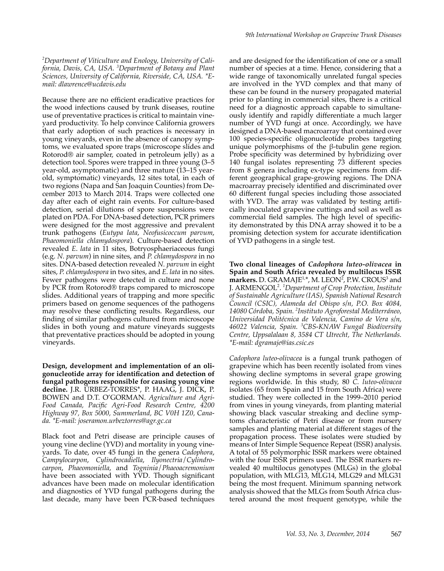*2 Department of Viticulture and Enology, University of California, Davis, CA, USA. <sup>3</sup> Department of Botany and Plant Sciences, University of California, Riverside, CA, USA. \*Email: dlawrence@ucdavis.edu*

Because there are no efficient eradicative practices for the wood infections caused by trunk diseases, routine use of preventative practices is critical to maintain vineyard productivity. To help convince California growers that early adoption of such practices is necessary in young vineyards, even in the absence of canopy symptoms, we evaluated spore traps (microscope slides and Rotorod® air sampler, coated in petroleum jelly) as a detection tool. Spores were trapped in three young (3–5 year-old, asymptomatic) and three mature (13–15 yearold, symptomatic) vineyards, 12 sites total, in each of two regions (Napa and San Joaquin Counties) from December 2013 to March 2014. Traps were collected one day after each of eight rain events. For culture-based detection, serial dilutions of spore suspensions were plated on PDA. For DNA-based detection, PCR primers were designed for the most aggressive and prevalent trunk pathogens (*Eutypa lata*, *Neofusicoccum parvum*, *Phaeomoniella chlamydospora*). Culture-based detection revealed *E*. *lata* in 11 sites, Botryosphaeriaceous fungi (e.g. *N. parvum*) in nine sites, and *P. chlamydospora* in no sites. DNA-based detection revealed *N. parvum* in eight sites, *P. chlamydospora* in two sites, and *E. lata* in no sites. Fewer pathogens were detected in culture and none by PCR from Rotorod® traps compared to microscope slides. Additional years of trapping and more specific primers based on genome sequences of the pathogens may resolve these conflicting results. Regardless, our finding of similar pathogens cultured from microscope slides in both young and mature vineyards suggests that preventative practices should be adopted in young vineyards.

**Design, development and implementation of an oligonucleotide array for identification and detection of fungal pathogens responsible for causing young vine decline.** J.R. ÚRBEZ-TORRES\*, P. HAAG, J. DICK, P. BOWEN and D.T. O'GORMAN. *Agriculture and Agri-Food Canada, Pacific Agri-Food Research Centre, 4200 Highway 97, Box 5000, Summerland, BC V0H 1Z0, Canada. \*E-mail: joseramon.urbeztorres@agr.gc.ca*

Black foot and Petri disease are principle causes of young vine decline (YVD) and mortality in young vineyards. To date, over 45 fungi in the genera *Cadophora*, *Campylocarpon*, *Cylindrocadiella*, *Ilyonectria*/*Cylindrocarpon*, *Phaeomoniella*, and *Togninia*/*Phaeoacremonium* have been associated with YVD. Though significant advances have been made on molecular identification and diagnostics of YVD fungal pathogens during the last decade, many have been PCR-based techniques and are designed for the identification of one or a small number of species at a time. Hence, considering that a wide range of taxonomically unrelated fungal species are involved in the YVD complex and that many of these can be found in the nursery propagated material prior to planting in commercial sites, there is a critical need for a diagnostic approach capable to simultaneously identify and rapidly differentiate a much larger number of YVD fungi at once. Accordingly, we have designed a DNA-based macroarray that contained over 100 species-specific oligonucleotide probes targeting unique polymorphisms of the β-tubulin gene region. Probe specificity was determined by hybridizing over 140 fungal isolates representing 73 different species from 8 genera including ex-type specimens from different geographical grape-growing regions. The DNA macroarray precisely identified and discriminated over 60 different fungal species including those associated with YVD. The array was validated by testing artificially inoculated grapevine cuttings and soil as well as commercial field samples. The high level of specificity demonstrated by this DNA array showed it to be a promising detection system for accurate identification of YVD pathogens in a single test.

**Two clonal lineages of** *Cadophora luteo-olivacea* **in Spain and South Africa revealed by multilocus ISSR markers.** D. GRAMAJE<sup>1,\*</sup>, M. LEON<sup>2</sup>, P.W. CROUS<sup>3</sup> and J. ARMENGOL<sup>2</sup> . *1 Department of Crop Protection, Institute of Sustainable Agriculture (IAS), Spanish National Research Council (CSIC), Alameda del Obispo s/n, P.O. Box 4084, 14080 Córdoba, Spain. 2 Instituto Agroforestal Mediterráneo, Universidad Politécnica de Valencia, Camino de Vera s/n, 46022 Valencia, Spain. <sup>3</sup> CBS-KNAW Fungal Biodiversity Centre, Uppsalalaan 8, 3584 CT Utrecht, The Netherlands. \*E-mail: dgramaje@ias.csic.es*

*Cadophora luteo-olivacea* is a fungal trunk pathogen of grapevine which has been recently isolated from vines showing decline symptoms in several grape growing regions worldwide. In this study, 80 *C. luteo-olivacea* isolates (65 from Spain and 15 from South Africa) were studied. They were collected in the 1999–2010 period from vines in young vineyards, from planting material showing black vascular streaking and decline symptoms characteristic of Petri disease or from nursery samples and planting material at different stages of the propagation process. These isolates were studied by means of Inter Simple Sequence Repeat (ISSR) analysis. A total of 55 polymorphic ISSR markers were obtained with the four ISSR primers used. The ISSR markers revealed 40 multilocus genotypes (MLGs) in the global population, with MLG13, MLG14, MLG29 and MLG31 being the most frequent. Minimum spanning network analysis showed that the MLGs from South Africa clustered around the most frequent genotype, while the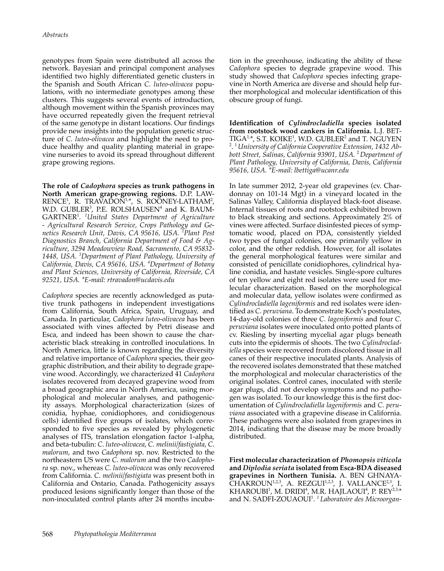genotypes from Spain were distributed all across the network. Bayesian and principal component analyses identified two highly differentiated genetic clusters in the Spanish and South African *C. luteo-olivacea* populations, with no intermediate genotypes among these clusters. This suggests several events of introduction, although movement within the Spanish provinces may have occurred repeatedly given the frequent retrieval of the same genotype in distant locations. Our findings provide new insights into the population genetic structure of *C. luteo-olivacea* and highlight the need to produce healthy and quality planting material in grapevine nurseries to avoid its spread throughout different grape growing regions.

**The role of** *Cadophora* **species as trunk pathogens in North American grape-growing regions.** D.P. LAW- $\text{RENCE}^1$ , R. TRAVADON<sup>1,\*</sup>, S. ROONEY-LATHAM<sup>2</sup>, W.D. GUBLER<sup>3</sup>, P.E. ROLSHAUSEN<sup>4</sup> and K. BAUM-GARTNER<sup>1</sup> . *<sup>1</sup> United States Department of Agriculture - Agricultural Research Service, Crops Pathology and Genetics Research Unit, Davis, CA 95616, USA. <sup>2</sup> Plant Pest Diagnostics Branch, California Department of Food & Agriculture, 3294 Meadowview Road, Sacramento, CA 95832- 1448, USA. <sup>3</sup> Department of Plant Pathology, University of California, Davis, CA 95616, USA. <sup>4</sup> Department of Botany and Plant Sciences, University of California, Riverside, CA 92521, USA. \*E-mail: rtravadon@ucdavis.edu*

*Cadophora* species are recently acknowledged as putative trunk pathogens in independent investigations from California, South Africa, Spain, Uruguay, and Canada. In particular, *Cadophora luteo-olivacea* has been associated with vines affected by Petri disease and Esca, and indeed has been shown to cause the characteristic black streaking in controlled inoculations. In North America, little is known regarding the diversity and relative importance of *Cadophora* species, their geographic distribution, and their ability to degrade grapevine wood. Accordingly, we characterized 41 *Cadophora* isolates recovered from decayed grapevine wood from a broad geographic area in North America, using morphological and molecular analyses, and pathogenicity assays. Morphological characterization (sizes of conidia, hyphae, conidiophores, and conidiogenous cells) identified five groups of isolates, which corresponded to five species as revealed by phylogenetic analyses of ITS, translation elongation factor 1-alpha, and beta-tubulin: *C. luteo-olivacea*, *C. melinii/fastigiata*, *C. malorum*, and two *Cadophora* sp. nov. Restricted to the northeastern US were *C. malorum* and the two *Cadophora* sp. nov., whereas *C. luteo-olivacea* was only recovered from California. *C. melinii/fastigiata* was present both in California and Ontario, Canada. Pathogenicity assays produced lesions significantly longer than those of the non-inoculated control plants after 24 months incuba-

tion in the greenhouse, indicating the ability of these *Cadophora* species to degrade grapevine wood. This study showed that *Cadophora* species infecting grapevine in North America are diverse and should help further morphological and molecular identification of this obscure group of fungi.

**Identification of** *Cylindrocladiella* **species isolated from rootstock wood cankers in California.** L.J. BET-TIGA<sup>1,</sup>\*, S.T. KOIKE<sup>1</sup>, W.D. GUBLER<sup>2</sup> and T. NGUYEN<br><sup>2</sup> <sup>1</sup> University of California Cooperative Extension, 1432, Ab-. 1*University of California Cooperative Extension, 1432 Abbott Street, Salinas, California 93901, USA.* <sup>2</sup>*Department of Plant Pathology, University of California, Davis, California 95616, USA. \*E-mail: lbettiga@ucanr.edu*

In late summer 2012, 2-year old grapevines (cv. Chardonnay on 101-14 Mgt) in a vineyard located in the Salinas Valley, California displayed black-foot disease. Internal tissues of roots and rootstock exhibited brown to black streaking and sections. Approximately 2% of vines were affected. Surface disinfested pieces of symptomatic wood, placed on PDA, consistently yielded two types of fungal colonies, one primarily yellow in color, and the other reddish. However, for all isolates the general morphological features were similar and consisted of penicillate conidiophores, cylindrical hyaline conidia, and hastate vesicles. Single-spore cultures of ten yellow and eight red isolates were used for molecular characterization. Based on the morphological and molecular data, yellow isolates were confirmed as *Cylindrocladiella lageniformis* and red isolates were identified as *C. peruviana*. To demonstrate Koch's postulates, 14-day-old colonies of three *C. lageniformis* and four *C. peruviana* isolates were inoculated onto potted plants of cv. Riesling by inserting mycelial agar plugs beneath cuts into the epidermis of shoots. The two *Cylindrocladiella* species were recovered from discolored tissue in all canes of their respective inoculated plants. Analysis of the recovered isolates demonstrated that these matched the morphological and molecular characteristics of the original isolates. Control canes, inoculated with sterile agar plugs, did not develop symptoms and no pathogen was isolated. To our knowledge this is the first documentation of *Cylindrocladiella lageniformis* and *C. peruviana* associated with a grapevine disease in California. These pathogens were also isolated from grapevines in 2014, indicating that the disease may be more broadly distributed.

**First molecular characterization of** *Phomopsis viticola* **and** *Diplodia seriata* **isolated from Esca-BDA diseased grapevines in Northern Tunisia.** A. BEN GHNAYA- $CHAKROUN<sup>1,2,3</sup>, A. REZGUI<sup>1,2,3</sup>, J. VALLANCE<sup>2,3</sup>, I.$ KHAROUBI<sup>1</sup>, M. DRIDI<sup>4</sup>, M.R. HAJLAOUI<sup>4</sup>, P. REY<sup>2,3,</sup>\* and N. SADFI-ZOUAOUI<sup>1</sup> . *1 Laboratoire des Microorgan-*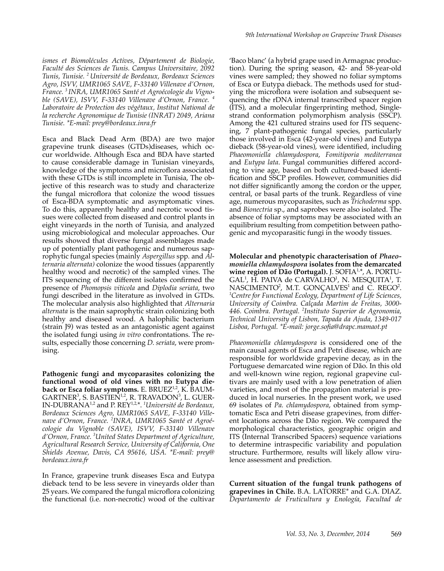*ismes et Biomolécules Actives, Département de Biologie, Faculté des Sciences de Tunis. Campus Universitaire, 2092 Tunis, Tunisie. 2 Université de Bordeaux, Bordeaux Sciences Agro, ISVV, UMR1065 SAVE, F-33140 Villenave d'Ornon, France. <sup>3</sup>INRA, UMR1065 Santé et Agroécologie du Vignoble (SAVE), ISVV, F-33140 Villenave d'Ornon, France. <sup>4</sup> Laboratoire de Protection des végétaux, Institut National de la recherche Agronomique de Tunisie (INRAT) 2049, Ariana Tunisie. \*E-mail: prey@bordeaux.inra.fr*

Esca and Black Dead Arm (BDA) are two major grapevine trunk diseases (GTDs)diseases, which occur worldwide. Although Esca and BDA have started to cause considerable damage in Tunisian vineyards, knowledge of the symptoms and microflora associated with these GTDs is still incomplete in Tunisia, The objective of this research was to study and characterize the fungal microflora that colonize the wood tissues of Esca-BDA symptomatic and asymptomatic vines. To do this, apparently healthy and necrotic wood tissues were collected from diseased and control plants in eight vineyards in the north of Tunisia, and analyzed using microbiological and molecular approaches. Our results showed that diverse fungal assemblages made up of potentially plant pathogenic and numerous saprophytic fungal species (mainly *Aspergillus* spp*.* and *Alternaria alternata)* colonize the wood tissues (apparently healthy wood and necrotic) of the sampled vines. The ITS sequencing of the different isolates confirmed the presence of *Phomopsis viticola* and *Diplodia seriata*, two fungi described in the literature as involved in GTDs. The molecular analysis also highlighted that *Alternaria alternata* is the main saprophytic strain colonizing both healthy and diseased wood. A halophilic bacterium (strain J9) was tested as an antagonistic agent against the isolated fungi using *in vitro* confrontations. The results, especially those concerning *D. seriata*, were promising.

**Pathogenic fungi and mycoparasites colonizing the functional wood of old vines with no Eutypa die**back or Esca foliar symptoms. E. BRUEZ<sup>1,2</sup>, K. BAUM- $\mathsf{GARTNER}^3$ , S. BASTIEN $^{1,2}$ , R. TRAVADON $^3$ , L. GUER-IN-DUBRANA1,2 and P. REY1,2, \*. *<sup>1</sup> Université de Bordeaux, Bordeaux Sciences Agro, UMR1065 SAVE, F-33140 Villenave d'Ornon, France. <sup>2</sup> INRA, UMR1065 Santé et Agroécologie du Vignoble (SAVE), ISVV, F-33140 Villenave d'Ornon, France. <sup>3</sup> United States Department of Agriculture, Agricultural Research Service, University of California, One Shields Avenue, Davis, CA 95616, USA. \*E-mail: prey@ bordeaux.inra.fr*

In France, grapevine trunk diseases Esca and Eutypa dieback tend to be less severe in vineyards older than 25 years. We compared the fungal microflora colonizing the functional (i.e. non-necrotic) wood of the cultivar

'Baco blanc' (a hybrid grape used in Armagnac production). During the spring season, 42- and 58-year-old vines were sampled; they showed no foliar symptoms of Esca or Eutypa dieback. The methods used for studying the microflora were isolation and subsequent sequencing the rDNA internal transcribed spacer region (ITS), and a molecular fingerprinting method, Singlestrand conformation polymorphism analysis (SSCP). Among the 421 cultured strains used for ITS sequencing, 7 plant-pathogenic fungal species, particularly those involved in Esca (42-year-old vines) and Eutypa dieback (58-year-old vines), were identified, including *Phaeomoniella chlamydospora*, *Fomitiporia mediterranea* and *Eutypa lata*. Fungal communities differed according to vine age, based on both cultured-based identification and SSCP profiles. However, communities did not differ significantly among the cordon or the upper, central, or basal parts of the trunk. Regardless of vine age, numerous mycoparasites, such as *Trichoderma* spp. and *Bionectria* sp., and saprobes were also isolated. The absence of foliar symptoms may be associated with an equilibrium resulting from competition between pathogenic and mycoparasitic fungi in the woody tissues.

**Molecular and phenotypic characterisation of** *Phaeomoniella chlamydospora* **isolates from the demarcated**  wine region of Dão (Portugal). J. SOFIA<sup>1,\*</sup>, A. PORTU-GAL<sup>1</sup>, H. PAIVA de CARVALHO<sup>1</sup>, N. MESQUITA<sup>1</sup>, T. NASCIMENTO<sup>2</sup>, M.T. GONÇALVES<sup>1</sup> and C. REGO<sup>2</sup>.<br><sup>1</sup>Centre for Eunctional Ecology, Department of Life Sciences. *Centre for Functional Ecology, Department of Life Sciences, University of Coimbra. Calçada Martim de Freitas, 3000- 446. Coimbra. Portugal. <sup>2</sup> Instituto Superior de Agronomia, Technical University of Lisbon, Tapada da Ajuda, 1349-017 Lisboa, Portugal. \*E-mail: jorge.sofia@drapc.mamaot.pt*

*Phaeomoniella chlamydospora* is considered one of the main causal agents of Esca and Petri disease, which are responsible for worldwide grapevine decay, as in the Portuguese demarcated wine region of Dão. In this old and well-known wine region, regional grapevine cultivars are mainly used with a low penetration of alien varieties, and most of the propagation material is produced in local nurseries. In the present work, we used 69 isolates of *Pa. chlamydospora*, obtained from symptomatic Esca and Petri disease grapevines, from different locations across the Dão region. We compared the morphological characteristics, geographic origin and ITS (Internal Transcribed Spacers) sequence variations to determine intraspecific variability and population structure. Furthermore, results will likely allow virulence assessment and prediction.

**Current situation of the fungal trunk pathogens of grapevines in Chile.** B.A. LATORRE\* and G.A. DIAZ. *Departamento de Fruticultura y Enología, Facultad de*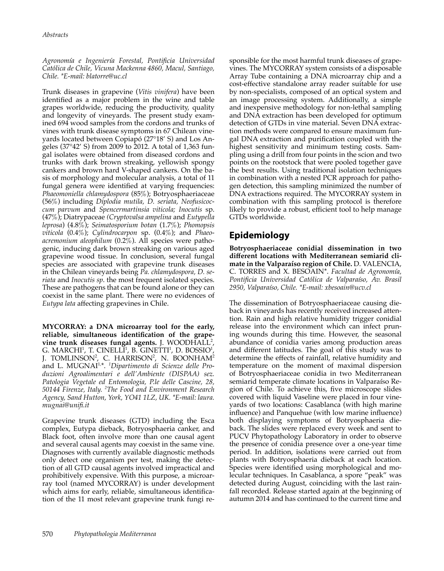#### *Agronomía e Ingeniería Forestal, Pontificia Universidad Católica de Chile, Vicuna Mackenna 4860, Macul, Santiago, Chile. \*E-mail: blatorre@uc.cl*

Trunk diseases in grapevine (*Vitis vinifera*) have been identified as a major problem in the wine and table grapes worldwide, reducing the productivity, quality and longevity of vineyards. The present study examined 694 wood samples from the cordons and trunks of vines with trunk disease symptoms in 67 Chilean vineyards located between Copiapó (27°18' S) and Los Angeles (37°42' S) from 2009 to 2012. A total of 1,363 fungal isolates were obtained from diseased cordons and trunks with dark brown streaking, yellowish spongy cankers and brown hard V-shaped cankers. On the basis of morphology and molecular analysis, a total of 11 fungal genera were identified at varying frequencies: *Phaeomoniella chlamydospora* (85%); Botryosphaeriaceae (56%) including *Diplodia mutila, D. seriata, Neofusicoccum parvum* and *Spencermartinsia viticola; Inocutis* sp. (47%); Diatrypaceae *(Cryptovalsa ampelina* and *Eutypella leprosa*) (4.8%); *Seimatosporium botan* (1.7%); *Phomopsis viticola* (0.4%); *Cylindrocarpon* sp. (0.4%); and *Phaeoacremonium aleophilum* (0.2%). All species were pathogenic, inducing dark brown streaking on various aged grapevine wood tissue. In conclusion, several fungal species are associated with grapevine trunk diseases in the Chilean vineyards being *Pa. chlamydospora, D. seriata* and *Inocutis sp*. the most frequent isolated species. These are pathogens that can be found alone or they can coexist in the same plant. There were no evidences of *Eutypa lata* affecting grapevines in Chile.

**MYCORRAY: a DNA microarray tool for the early, reliable, simultaneous identification of the grapevine trunk diseases fungal agents.** J. WOODHALL<sup>2</sup> , G. MARCHI $^1$ , T. CINELLI $^1$ , B. GINETTI $^1$ , D. BOSSIO $^1$ , J. TOMLINSON<sup>2</sup>, C. HARRISON<sup>2</sup>, N. BOONHAM<sup>2</sup> and L. MUGNAI1, \*. *<sup>1</sup> Dipartimento di Scienze delle Produzioni Agroalimentari e dell'Ambiente (DISPAA) sez. Patologia Vegetale ed Entomologia, P.le delle Cascine, 28, 50144 Firenze, Italy. <sup>2</sup> The Food and Environment Research Agency, Sand Hutton, York, YO41 1LZ, UK. \*E-mail: laura. mugnai@unifi.it*

Grapevine trunk diseases (GTD) including the Esca complex, Eutypa dieback, Botryosphaeria canker, and Black foot, often involve more than one causal agent and several causal agents may coexist in the same vine. Diagnoses with currently available diagnostic methods only detect one organism per test, making the detection of all GTD causal agents involved impractical and prohibitively expensive. With this purpose, a microarray tool (named MYCORRAY) is under development which aims for early, reliable, simultaneous identification of the 11 most relevant grapevine trunk fungi responsible for the most harmful trunk diseases of grapevines. The MYCORRAY system consists of a disposable Array Tube containing a DNA microarray chip and a cost-effective standalone array reader suitable for use by non-specialists, composed of an optical system and an image processing system. Additionally, a simple and inexpensive methodology for non-lethal sampling and DNA extraction has been developed for optimum detection of GTDs in vine material. Seven DNA extraction methods were compared to ensure maximum fungal DNA extraction and purification coupled with the highest sensitivity and minimum testing costs. Sampling using a drill from four points in the scion and two points on the rootstock that were pooled together gave the best results. Using traditional isolation techniques in combination with a nested PCR approach for pathogen detection, this sampling minimized the number of DNA extractions required. The MYCORRAY system in combination with this sampling protocol is therefore likely to provide a robust, efficient tool to help manage GTDs worldwide.

## **Epidemiology**

**Botryosphaeriaceae conidial dissemination in two different locations with Mediterranean semiarid climate in the Valparaíso region of Chile.** D. VALENCIA, C. TORRES and X. BESOAIN\*. *Facultad de Agronomía, Pontificia Universidad Católica de Valparaíso, Av. Brasil 2950, Valparaíso, Chile. \*E-mail: xbesoain@ucv.cl*

The dissemination of Botryosphaeriaceae causing dieback in vineyards has recently received increased attention. Rain and high relative humidity trigger conidial release into the environment which can infect pruning wounds during this time. However, the seasonal abundance of conidia varies among production areas and different latitudes. The goal of this study was to determine the effects of rainfall, relative humidity and temperature on the moment of maximal dispersion of Botryosphaeriaceae conidia in two Mediterranean semiarid temperate climate locations in Valparaíso Region of Chile. To achieve this, five microscope slides covered with liquid Vaseline were placed in four vineyards of two locations: Casablanca (with high marine influence) and Panquehue (with low marine influence) both displaying symptoms of Botryosphaeria dieback. The slides were replaced every week and sent to PUCV Phytopathology Laboratory in order to observe the presence of conidia presence over a one-year time period. In addition, isolations were carried out from plants with Botryosphaeria dieback at each location. Species were identified using morphological and molecular techniques. In Casablanca, a spore "peak" was detected during August, coinciding with the last rainfall recorded. Release started again at the beginning of autumn 2014 and has continued to the current time and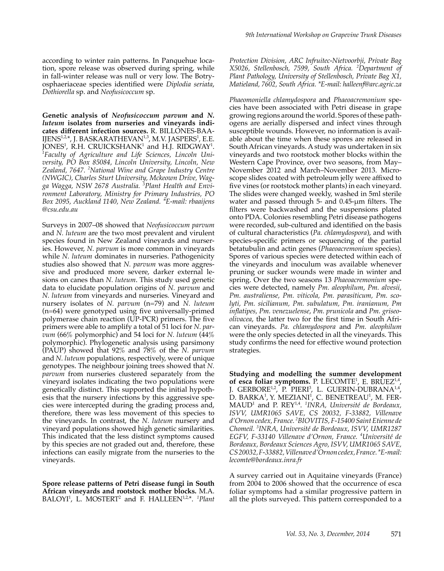according to winter rain patterns. In Panquehue location, spore release was observed during spring, while in fall-winter release was null or very low. The Botryosphaeriaceae species identified were *Diplodia seriata*, *Dothiorella* sp. and *Neofusicoccum* sp.

**Genetic analysis of** *Neofusicoccum parvum* **and** *N. luteum* **isolates from nurseries and vineyards indicates different infection sources.** R. BILLONES-BAA-IJENS<sup>1,2</sup>\*, J. BASKARATHEVAN<sup>1,3</sup>, M.V. JASPERS<sup>1</sup>, E.E. JONES<sup>1</sup>, R.H. CRUICKSHANK<sup>1</sup> and H.J. RIDGWAY<sup>1</sup>.<br><sup>1</sup>Eacultu of Agriculture and Life Sciences, Lincoln Uni-*Faculty of Agriculture and Life Sciences, Lincoln University, PO Box 85084, Lincoln University, Lincoln, New Zealand, 7647. <sup>2</sup> National Wine and Grape Industry Centre (NWGIC), Charles Sturt University, Mckeown Drive, Wagga Wagga, NSW 2678 Australia. <sup>3</sup> Plant Health and Environment Laboratory, Ministry for Primary Industries, PO Box 2095, Auckland 1140, New Zealand. \*E-mail: rbaaijens @csu.edu.au*

Surveys in 2007–08 showed that *Neofusicoccum parvum* and *N. luteum* are the two most prevalent and virulent species found in New Zealand vineyards and nurseries. However, *N. parvum* is more common in vineyards while *N. luteum* dominates in nurseries. Pathogenicity studies also showed that *N. parvum* was more aggressive and produced more severe, darker external lesions on canes than *N. luteum*. This study used genetic data to elucidate population origins of *N. parvum* and *N. luteum* from vineyards and nurseries*.* Vineyard and nursery isolates of *N. parvum* (n=79) and *N. luteum* (n=64) were genotyped using five universally-primed polymerase chain reaction (UP-PCR) primers. The five primers were able to amplify a total of 51 loci for *N. parvum* (66% polymorphic) and 54 loci for *N. luteum* (44% polymorphic). Phylogenetic analysis using parsimony (PAUP) showed that 92% and 78% of the *N. parvum* and *N. luteum* populations, respectively, were of unique genotypes. The neighbour joining trees showed that *N. parvum* from nurseries clustered separately from the vineyard isolates indicating the two populations were genetically distinct. This supported the initial hypothesis that the nursery infections by this aggressive species were intercepted during the grading process and, therefore, there was less movement of this species to the vineyards. In contrast, the *N. luteum* nursery and vineyard populations showed high genetic similarities. This indicated that the less distinct symptoms caused by this species are not graded out and, therefore, these infections can easily migrate from the nurseries to the vineyards.

**Spore release patterns of Petri disease fungi in South African vineyards and rootstock mother blocks.** M.A. BALOYI<sup>1</sup>, L. MOSTERT<sup>2</sup> and F. HALLEEN<sup>1,2,\*</sup>. <sup>1</sup>Plant

*Protection Division, ARC Infruitec-Nietvoorbji, Private Bag X5026, Stellenbosch, 7599, South Africa. <sup>2</sup> Department of Plant Pathology, University of Stellenbosch, Private Bag X1, Matieland, 7602, South Africa. \*E-mail: halleenf@arc.agric.za*

*Phaeomoniella chlamydospora* and *Phaeoacremonium* species have been associated with Petri disease in grape growing regions around the world. Spores of these pathogens are aerially dispersed and infect vines through susceptible wounds. However, no information is available about the time when these spores are released in South African vineyards. A study was undertaken in six vineyards and two rootstock mother blocks within the Western Cape Province, over two seasons, from May– November 2012 and March–November 2013. Microscope slides coated with petroleum jelly were affixed to five vines (or rootstock mother plants) in each vineyard. The slides were changed weekly, washed in 5ml sterile water and passed through 5- and 0.45-μm filters. The filters were backwashed and the suspensions plated onto PDA. Colonies resembling Petri disease pathogens were recorded, sub-cultured and identified on the basis of cultural characteristics (*Pa. chlamydospora*), and with species-specific primers or sequencing of the partial betatubulin and actin genes (*Phaeoacremonium* species). Spores of various species were detected within each of the vineyards and inoculum was available whenever pruning or sucker wounds were made in winter and spring. Over the two seasons 13 *Phaeoacremonium* species were detected, namely *Pm. aleophilum*, *Pm. alvesii, Pm. australiense, Pm. viticola, Pm. parasiticum, Pm. scolyti, Pm. sicilianum, Pm. subulatum, Pm. iranianum, Pm inflatipes, Pm. venezuelense*, *Pm. prunicola* and *Pm. griseoolivacea*, the latter two for the first time in South African vineyards. *Pa. chlamydospora* and *Pm. aleophilum* were the only species detected in all the vineyards. This study confirms the need for effective wound protection strategies.

**Studying and modelling the summer development**  of esca foliar symptoms. P. LECOMTE<sup>1</sup>, E. BRUEZ<sup>1,4</sup>, J. GERBORE<sup>1,2</sup>, P. PIERI<sup>3</sup>, L. GUERIN-DUBRANA<sup>1,4</sup>, D. BARKA<sup>1</sup>, Y. MEZIANI<sup>1</sup>, C. BENETREAU<sup>1</sup>, M. FER-MAUD<sup>1</sup> and P. REY<sup>1,4</sup>. <sup>1</sup>INRA, Université de Bordeaux, *ISVV, UMR1065 SAVE, CS 20032, F-33882, Villenave d'Ornon cedex, France. <sup>2</sup> BIOVITIS, F-15400 Saint Etienne de Chomeil. <sup>3</sup> INRA, Université de Bordeaux, ISVV, UMR1287 EGFV, F-33140 Villenave d'Ornon, France. <sup>4</sup> Université de Bordeaux, Bordeaux Sciences Agro, ISVV, UMR1065 SAVE, CS 20032, F-33882, Villenave d'Ornon cedex, France. \*E-mail: lecomte@bordeaux.inra.fr*

A survey carried out in Aquitaine vineyards (France) from 2004 to 2006 showed that the occurrence of esca foliar symptoms had a similar progressive pattern in all the plots surveyed. This pattern corresponded to a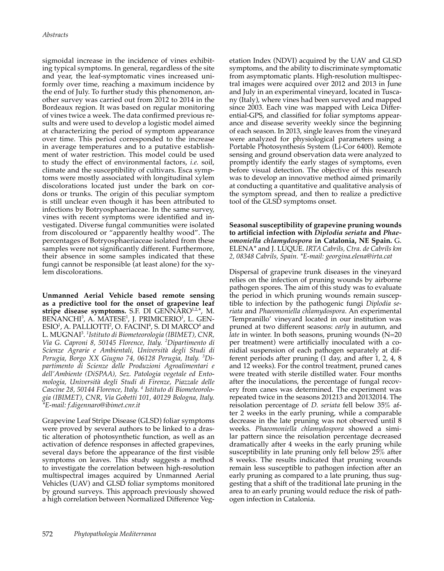sigmoidal increase in the incidence of vines exhibiting typical symptoms. In general, regardless of the site and year, the leaf-symptomatic vines increased uniformly over time, reaching a maximum incidence by the end of July. To further study this phenomenon, another survey was carried out from 2012 to 2014 in the Bordeaux region. It was based on regular monitoring of vines twice a week. The data confirmed previous results and were used to develop a logistic model aimed at characterizing the period of symptom appearance over time. This period corresponded to the increase in average temperatures and to a putative establishment of water restriction. This model could be used to study the effect of environmental factors, *i.e.* soil, climate and the susceptibility of cultivars. Esca symptoms were mostly associated with longitudinal xylem discolorations located just under the bark on cordons or trunks. The origin of this peculiar symptom is still unclear even though it has been attributed to infections by Botryosphaeriaceae. In the same survey, vines with recent symptoms were identified and investigated. Diverse fungal communities were isolated from discoloured or "apparently healthy wood". The percentages of Botryosphaeriaceae isolated from these samples were not significantly different. Furthermore, their absence in some samples indicated that these fungi cannot be responsible (at least alone) for the xylem discolorations.

**Unmanned Aerial Vehicle based remote sensing as a predictive tool for the onset of grapevine leaf**  stripe disease symptoms. S.F. DI GENNARO<sup>1,2,\*</sup>, M. BENANCHI<sup>3</sup>, A. MATESE<sup>1</sup>, J. PRIMICERIO<sup>1</sup>, L. GEN- $ESIO<sup>1</sup>$ , A. PALLIOTTI<sup>2</sup>, O. FACINI<sup>4</sup>, S. DI MARCO<sup>4</sup> and L. MUGNAI<sup>3</sup> . *1 Istituto di Biometeorologia (IBIMET), CNR, Via G. Caproni 8, 50145 Florence, Italy. <sup>2</sup> Dipartimento di Scienze Agrarie e Ambientali, Università degli Studi di Perugia, Borgo XX Giugno 74, 06128 Perugia, Italy. <sup>3</sup> Dipartimento di Scienze delle Produzioni Agroalimentari e dell'Ambiente (DiSPAA), Sez. Patologia vegetale ed Entomologia, Università degli Studi di Firenze, Piazzale delle Cascine 28, 50144 Florence, Italy. <sup>4</sup> Istituto di Biometeorologia (IBIMET), CNR, Via Gobetti 101, 40129 Bologna, Italy. \*E-mail: f.digennaro@ibimet.cnr.it*

Grapevine Leaf Stripe Disease (GLSD) foliar symptoms were proved by several authors to be linked to a drastic alteration of photosynthetic function, as well as an activation of defence responses in affected grapevines, several days before the appearance of the first visible symptoms on leaves. This study suggests a method to investigate the correlation between high-resolution multispectral images acquired by Unmanned Aerial Vehicles (UAV) and GLSD foliar symptoms monitored by ground surveys. This approach previously showed a high correlation between Normalized Difference Veg-

etation Index (NDVI) acquired by the UAV and GLSD symptoms, and the ability to discriminate symptomatic from asymptomatic plants. High-resolution multispectral images were acquired over 2012 and 2013 in June and July in an experimental vineyard, located in Tuscany (Italy), where vines had been surveyed and mapped since 2003. Each vine was mapped with Leica Differential-GPS, and classified for foliar symptoms appearance and disease severity weekly since the beginning of each season. In 2013, single leaves from the vineyard were analyzed for physiological parameters using a Portable Photosynthesis System (Li-Cor 6400). Remote sensing and ground observation data were analyzed to promptly identify the early stages of symptoms, even before visual detection. The objective of this research was to develop an innovative method aimed primarily at conducting a quantitative and qualitative analysis of the symptom spread, and then to realize a predictive tool of the GLSD symptoms onset.

**Seasonal susceptibility of grapevine pruning wounds to artificial infection with** *Diplodia seriata* **and** *Phaeomoniella chlamydospora* **in Catalonia, NE Spain.** G. ELENA\* and J. LUQUE. *IRTA Cabrils, Ctra. de Cabrils km 2, 08348 Cabrils, Spain. \*E-mail: georgina.elena@irta.cat*

Dispersal of grapevine trunk diseases in the vineyard relies on the infection of pruning wounds by airborne pathogen spores. The aim of this study was to evaluate the period in which pruning wounds remain susceptible to infection by the pathogenic fungi *Diplodia seriata* and *Phaeomoniella chlamydospora*. An experimental 'Tempranillo' vineyard located in our institution was pruned at two different seasons: *early* in autumn, and *late* in winter. In both seasons, pruning wounds (N=20) per treatment) were artificially inoculated with a conidial suspension of each pathogen separately at different periods after pruning (1 day, and after 1, 2, 4, 8 and 12 weeks). For the control treatment, pruned canes were treated with sterile distilled water. Four months after the inoculations, the percentage of fungal recovery from canes was determined. The experiment was repeated twice in the seasons 201213 and 20132014. The reisolation percentage of *D. seriata* fell below 35% after 2 weeks in the early pruning, while a comparable decrease in the late pruning was not observed until 8 weeks. *Phaeomoniella chlamydospora* showed a similar pattern since the reisolation percentage decreased dramatically after 4 weeks in the early pruning while susceptibility in late pruning only fell below 25% after 8 weeks. The results indicated that pruning wounds remain less susceptible to pathogen infection after an early pruning as compared to a late pruning, thus suggesting that a shift of the traditional late pruning in the area to an early pruning would reduce the risk of pathogen infection in Catalonia.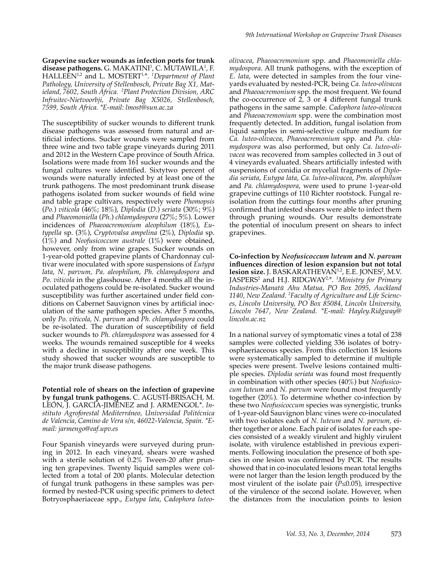**Grapevine sucker wounds as infection ports for trunk**  disease pathogens. G. MAKATINI<sup>1</sup>, C. MUTAWILA<sup>1</sup>, F. HALLEEN1,2 and L. MOSTERT1,\*. *<sup>1</sup> Department of Plant Pathology, University of Stellenbosch, Private Bag X1, Matieland, 7602, South Africa. <sup>2</sup> Plant Protection Division, ARC Infruitec-Nietvoorbji, Private Bag X5026, Stellenbosch, 7599, South Africa. \*E-mail: lmost@sun.ac.za*

The susceptibility of sucker wounds to different trunk disease pathogens was assessed from natural and artificial infections. Sucker wounds were sampled from three wine and two table grape vineyards during 2011 and 2012 in the Western Cape province of South Africa. Isolations were made from 161 sucker wounds and the fungal cultures were identified. Sixtytwo percent of wounds were naturally infected by at least one of the trunk pathogens. The most predominant trunk disease pathogens isolated from sucker wounds of field wine and table grape cultivars, respectively were *Phomopsis*  (*Po.*) *viticola* (46%; 18%), *Diplodia* (*D*.) *seriata* (30%; 9%) and *Phaeomoniella* (*Ph*.) *chlamydospora* (27%; 5%). Lower incidences of *Phaeoacremonium aleophilum* (18%), *Eutypella* sp. (3%), *Cryptovalsa ampelina* (2%), *Diplodia* sp. (1%) and *Neofusicoccum australe* (1%) were obtained, however, only from wine grapes. Sucker wounds on 1-year-old potted grapevine plants of Chardonnay cultivar were inoculated with spore suspensions of *Eutypa lata*, *N*. *parvum, Pa*. *aleophilum*, *Ph. chlamydospora* and *Po*. *viticola* in the glasshouse. After 4 months all the inoculated pathogens could be re-isolated. Sucker wound susceptibility was further ascertained under field conditions on Cabernet Sauvignon vines by artificial inoculation of the same pathogen species. After 5 months, only *Po. viticola, N. parvum* and *Ph. chlamydospora* could be re-isolated. The duration of susceptibility of field sucker wounds to *Ph. chlamydospora* was assessed for 4 weeks*.* The wounds remained susceptible for 4 weeks with a decline in susceptibility after one week. This study showed that sucker wounds are susceptible to the major trunk disease pathogens.

**Potential role of shears on the infection of grapevine by fungal trunk pathogens.** C. AGUSTÍ-BRISACH, M. LEÓN, J. GARCÍA-JIMÉNEZ and J. ARMENGOL\*. *Instituto Agroforestal Mediterráneo, Universidad Politécnica de Valencia, Camino de Vera s/n, 46022-Valencia, Spain. \*Email: jarmengo@eaf.upv.es*

Four Spanish vineyards were surveyed during pruning in 2012. In each vineyard, shears were washed with a sterile solution of 0.2% Tween-20 after pruning ten grapevines. Twenty liquid samples were collected from a total of 200 plants. Molecular detection of fungal trunk pathogens in these samples was performed by nested-PCR using specific primers to detect Botryosphaeriaceae spp., *Eutypa lata*, *Cadophora luteo-* *olivacea*, *Phaeoacremonium* spp. and *Phaeomoniella chlamydospora*. All trunk pathogens*,* with the exception of *E. lata*, were detected in samples from the four vineyards evaluated by nested-PCR, being *Ca. luteo-olivacea* and *Phaeoacremonium* spp. the most frequent. We found the co-occurrence of  $2, 3$  or 4 different fungal trunk pathogens in the same sample. *Cadophora luteo-olivacea* and *Phaeoacremonium* spp. were the combination most frequently detected. In addition, fungal isolation from liquid samples in semi-selective culture medium for *Ca. luteo-olivacea*, *Phaeoacremonium* spp. and *Pa. chlamydospora* was also performed, but only *Ca. luteo-olivacea* was recovered from samples collected in 3 out of 4 vineyards evaluated. Shears artificially infested with suspensions of conidia or mycelial fragments of *Diplodia seriata*, *Eutypa lata*, *Ca. luteo-olivacea*, *Pm. aleophilum* and *Pa. chlamydospora*, were used to prune 1-year-old grapevine cuttings of 110 Richter rootstock. Fungal reisolation from the cuttings four months after pruning confirmed that infested shears were able to infect them through pruning wounds. Our results demonstrate the potential of inoculum present on shears to infect grapevines.

**Co-infection by** *Neofusicoccum luteum* **and** *N. parvum* **influences direction of lesion expansion but not total**  lesion size. J. BASKARATHEVAN<sup>1,2</sup>, E.E. JONES<sup>2</sup>, M.V. JASPERS<sup>2</sup> and H.J. RIDGWAY<sup>2,\*</sup>. <sup>1</sup>Ministry for Primary *Industries-Manatū Ahu Matua, PO Box 2095, Auckland 1140, New Zealand. 2 Faculty of Agriculture and Life Sciences, Lincoln University, PO Box 85084, Lincoln University, Lincoln 7647, New Zealand. \*E-mail: Hayley.Ridgway@ lincoln.ac.nz*

In a national survey of symptomatic vines a total of 238 samples were collected yielding 336 isolates of botryosphaeriaceous species. From this collection 18 lesions were systematically sampled to determine if multiple species were present. Twelve lesions contained multiple species. *Diplodia seriata* was found most frequently in combination with other species (40%) but *Neofusicocum luteum* and *N. parvum* were found most frequently together (20%). To determine whether co-infection by these two *Neofusicoccum* species was synergistic, trunks of 1-year-old Sauvignon blanc vines were co-inoculated with two isolates each of *N. luteum* and *N. parvum,* either together or alone. Each pair of isolates for each species consisted of a weakly virulent and highly virulent isolate, with virulence established in previous experiments. Following inoculation the presence of both species in one lesion was confirmed by PCR. The results showed that in co-inoculated lesions mean total lengths were not larger than the lesion length produced by the most virulent of the isolate pair (*P*≤0.05), irrespective of the virulence of the second isolate. However, when the distances from the inoculation points to lesion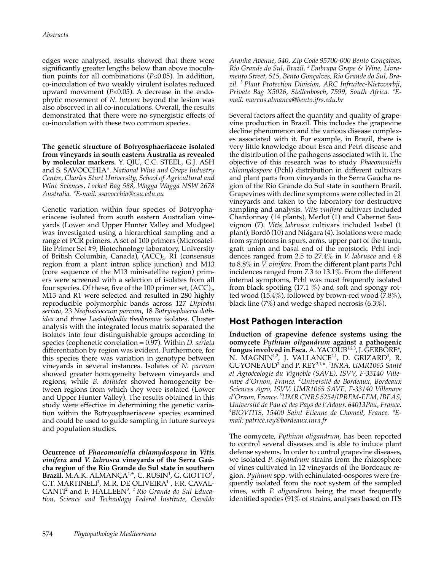edges were analysed, results showed that there were significantly greater lengths below than above inoculation points for all combinations (*P*≤0.05). In addition, co-inoculation of two weakly virulent isolates reduced upward movement ( $P \le 0.05$ ). A decrease in the endophytic movement of *N. luteum* beyond the lesion was also observed in all co-inoculations. Overall, the results demonstrated that there were no synergistic effects of co-inoculation with these two common species.

**The genetic structure of Botryosphaeriaceae isolated from vineyards in south eastern Australia as revealed by molecular markers.** Y. QIU, C.C. STEEL, G.J. ASH and S. SAVOCCHIA\*. *National Wine and Grape Industry Centre, Charles Sturt University, School of Agricultural and Wine Sciences, Locked Bag 588, Wagga Wagga NSW 2678 Australia. \*E-mail: ssavocchia@csu.edu.au*

Genetic variation within four species of Botryophaeriaceae isolated from south eastern Australian vineyards (Lower and Upper Hunter Valley and Mudgee) was investigated using a hierarchical sampling and a range of PCR primers. A set of 100 primers (Microsatellite Primer Set #9; Biotechnology laboratory, University of British Columbia, Canada),  $(ACC)_{5}$ , R1 (consensus region from a plant intron splice junction) and M13 (core sequence of the M13 minisatellite region) primers were screened with a selection of isolates from all four species. Of these, five of the 100 primer set,  $(ACC)_{5}$ , M13 and R1 were selected and resulted in 280 highly reproducible polymorphic bands across 127 *Diplodia seriata*, 23 *Neofusicoccum parvum*, 18 *Botryosphaeria dothidea* and three *Lasiodiplodia theobromae* isolates. Cluster analysis with the integrated locus matrix separated the isolates into four distinguishable groups according to species (cophenetic correlation = 0.97). Within *D. seriata* differentiation by region was evident. Furthermore, for this species there was variation in genotype between vineyards in several instances. Isolates of *N. parvum* showed greater homogeneity between vineyards and regions, while *B. dothidea* showed homogeneity between regions from which they were isolated (Lower and Upper Hunter Valley). The results obtained in this study were effective in determining the genetic variation within the Botryosphaeriaceae species examined and could be used to guide sampling in future surveys and population studies.

**Ocurrence of** *Phaeomoniella chlamydospora* **in** *Vitis vinifera* **and** *V. labrusca* **vineyards of the Serra Gaúcha region of the Rio Grande do Sul state in southern Brazil.** M.A.K. ALMANÇA<sup>1,\*</sup>, C. RUSIN<sup>1</sup>, G. GIOTTO<sup>1</sup>, G.T. MARTINELI $^{\rm l}$ , M.R. DE OLIVEIRA $^{\rm l}$  , F.R. CAVAL-CANTI<sup>2</sup> and F. HALLEEN<sup>3</sup> . *<sup>1</sup>Rio Grande do Sul Education, Science and Technology Federal Institute, Osvaldo* 

*Aranha Avenue, 540, Zip Code 95700-000 Bento Gonçalves, Rio Grande do Sul, Brazil. <sup>2</sup>Embrapa Grape & Wine, Livramento Street, 515, Bento Gonçalves, Rio Grande do Sul, Brazil. <sup>3</sup>Plant Protection Division, ARC Infruitec-Nietvoorbji, Private Bag X5026, Stellenbosch, 7599, South Africa. \*Email: marcus.almanca@bento.ifrs.edu.br*

Several factors affect the quantity and quality of grapevine production in Brazil. This includes the grapevine decline phenomenon and the various disease complexes associated with it. For example, in Brazil, there is very little knowledge about Esca and Petri disease and the distribution of the pathogens associated with it. The objective of this research was to study *Phaeomoniella chlamydospora* (Pchl) distribution in different cultivars and plant parts from vineyards in the Serra Gaúcha region of the Rio Grande do Sul state in southern Brazil. Grapevines with decline symptoms were collected in 21 vineyards and taken to the laboratory for destructive sampling and analysis. *Vitis vinífera* cultivars included Chardonnay (14 plants), Merlot (1) and Cabernet Sauvignon (7). *Vitis labrusca* cultivars included Isabel (1 plant), Bordô (10) and Niágara (4). Isolations were made from symptoms in spurs, arms, upper part of the trunk, graft union and basal end of the rootstock. Pchl incidences ranged from 2.5 to 27.4% in *V. labrusca* and 4.8 to 8.8% in *V. vinifera*. From the different plant parts Pchl incidences ranged from 7.3 to 13.1%. From the different internal symptoms, Pchl was most frequently isolated from black spotting (17.1 %) and soft and spongy rotted wood (15.4%), followed by brown-red wood (7.8%), black line (7%) and wedge shaped necrosis (6.3%).

## **Host Pathogen Interaction**

**Induction of grapevine defence systems using the oomycete** *Pythium oligandrum* **against a pathogenic**  fungus involved in Esca. A. YACOUB<sup>1,2,3</sup>, J. GERBORE<sup>4</sup>, N. MAGNIN<sup>1,2</sup>, J. VALLANCE<sup>2,1</sup>, D. GRIZARD<sup>4</sup>, R. GUYONEAUD<sup>3</sup> and P. REY2,1,\*. *<sup>1</sup> INRA, UMR1065 Santé et Agroécologie du Vignoble (SAVE), ISVV, F-33140 Villenave d'Ornon, France. <sup>2</sup> Université de Bordeaux, Bordeaux Sciences Agro, ISVV, UMR1065 SAVE, F-33140 Villenave d'Ornon, France. <sup>3</sup> UMR CNRS 5254/IPREM-EEM, IBEAS, Université de Pau et des Pays de l'Adour, 64013Pau, France. 4 BIOVITIS, 15400 Saint Etienne de Chomeil, France. \*Email: patrice.rey@bordeaux.inra.fr*

The oomycete, *Pythium oligandrum*, has been reported to control several diseases and is able to induce plant defense systems. In order to control grapevine diseases, we isolated *P. oligandrum* strains from the rhizosphere of vines cultivated in 12 vineyards of the Bordeaux region. *Pythium* spp. with echinulated-oospores were frequently isolated from the root system of the sampled vines, with *P. oligandrum* being the most frequently identified species (91% of strains, analyses based on ITS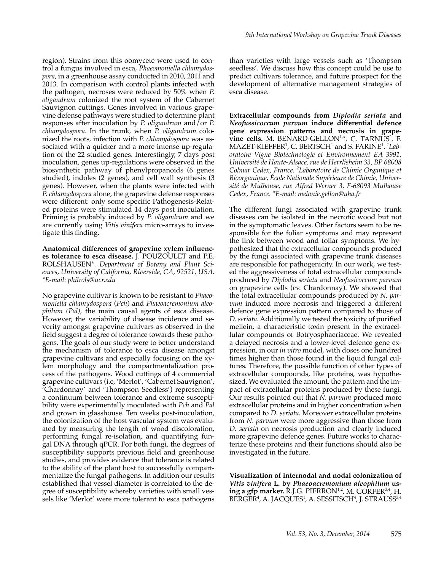region). Strains from this oomycete were used to control a fungus involved in esca, *Phaeomoniella chlamydospora*, in a greenhouse assay conducted in 2010, 2011 and 2013. In comparison with control plants infected with the pathogen, necroses were reduced by 50% when *P. oligandrum* colonized the root system of the Cabernet Sauvignon cuttings. Genes involved in various grapevine defense pathways were studied to determine plant responses after inoculation by *P. oligandrum* and/or *P. chlamydospora*. In the trunk, when *P. oligandrum* colonized the roots*,* infection with *P. chlamydospora* was associated with a quicker and a more intense up-regulation of the 22 studied genes. Interestingly, 7 days post inoculation, genes up-regulations were observed in the biosynthetic pathway of phenylpropanoids (6 genes studied), indoles (2 genes), and cell wall synthesis (3 genes). However, when the plants were infected with *P. chlamydospora* alone, the grapevine defense responses were different: only some specific Pathogenesis-Related proteins were stimulated 14 days post inoculation. Priming is probably induced by *P. oligandrum* and we are currently using *Vitis vinifera* micro-arrays to investigate this finding.

**Anatomical differences of grapevine xylem influences tolerance to esca disease.** J. POUZOULET and P.E. ROLSHAUSEN\*. *Department of Botany and Plant Sciences, University of California, Riverside, CA, 92521, USA. \*E-mail: philrols@ucr.edu*

No grapevine cultivar is known to be resistant to *Phaeomoniella chlamydospora* (*Pch*) and *Phaeoacremonium aleophilum (Pal)*, the main causal agents of esca disease. However, the variability of disease incidence and severity amongst grapevine cultivars as observed in the field suggest a degree of tolerance towards these pathogens. The goals of our study were to better understand the mechanism of tolerance to esca disease amongst grapevine cultivars and especially focusing on the xylem morphology and the compartmentalization process of the pathogens. Wood cuttings of 4 commercial grapevine cultivars (i.e, 'Merlot', 'Cabernet Sauvignon', 'Chardonnay' and 'Thompson Seedless') representing a continuum between tolerance and extreme susceptibility were experimentally inoculated with *Pch* and *Pal*  and grown in glasshouse. Ten weeks post-inoculation, the colonization of the host vascular system was evaluated by measuring the length of wood discoloration, performing fungal re-isolation, and quantifying fungal DNA through qPCR. For both fungi, the degrees of susceptibility supports previous field and greenhouse studies, and provides evidence that tolerance is related to the ability of the plant host to successfully compartmentalize the fungal pathogens. In addition our results established that vessel diameter is correlated to the degree of susceptibility whereby varieties with small vessels like 'Merlot' were more tolerant to esca pathogens

than varieties with large vessels such as 'Thompson seedless'. We discuss how this concept could be use to predict cultivars tolerance, and future prospect for the development of alternative management strategies of esca disease.

**Extracellular compounds from** *Diplodia seriata* **and**  *Neofussicoccum parvum* **induce differential defence gene expression patterns and necrosis in grape-** $\nu$ ine cells. M. BENARD-GELLON<sup>1,\*</sup>, C. TARNUS<sup>2</sup>, F. MAZET-KIEFFER<sup>1</sup> , C. BERTSCH<sup>1</sup> and S. FARINE<sup>1</sup> . *1 Laboratoire Vigne Biotechnologie et Environnement EA 3991, Université de Haute-Alsace, rue de Herrlisheim 33, BP 68008 Colmar Cedex, France. <sup>2</sup> Laboratoire de Chimie Organique et Bioorganique, École Nationale Supérieure de Chimie, Université de Mulhouse, rue Alfred Werner 3, F-68093 Mulhouse Cedex, France. \*E-mail: melanie.gellon@uha.fr*

The different fungi associated with grapevine trunk diseases can be isolated in the necrotic wood but not in the symptomatic leaves. Other factors seem to be responsible for the foliar symptoms and may represent the link between wood and foliar symptoms. We hypothesized that the extracellular compounds produced by the fungi associated with grapevine trunk diseases are responsible for pathogenicity. In our work, we tested the aggressiveness of total extracellular compounds produced by *Diplodia seriata* and *Neofusicoccum parvum* on grapevine cells (cv. Chardonnay). We showed that the total extracellular compounds produced by *N. parvum* induced more necrosis and triggered a different defence gene expression pattern compared to those of *D. seriata*. Additionally we tested the toxicity of purified mellein, a characteristic toxin present in the extracellular compounds of Botryosphaeriaceae. We revealed a delayed necrosis and a lower-level defence gene expression, in our *in vitro* model, with doses one hundred times higher than those found in the liquid fungal cultures. Therefore, the possible function of other types of extracellular compounds, like proteins, was hypothesized. We evaluated the amount, the pattern and the impact of extracellular proteins produced by these fungi. Our results pointed out that *N. parvum* produced more extracellular proteins and in higher concentration when compared to *D. seriata*. Moreover extracellular proteins from *N. parvum* were more aggressive than those from *D. seriata* on necrosis production and clearly induced more grapevine defence genes. Future works to characterize these proteins and their functions should also be investigated in the future.

**Visualization of internodal and nodal colonization of**  *Vitis vinifera* **L. by** *Phaeoacremonium aleophilum* **us**ing a gfp marker. R.J.G. PIERRON<sup>1,2</sup>, M. GORFER<sup>3,4</sup>, H. BERGER<sup>4</sup>, A. JACQUES<sup>1</sup>, A. SESSITSCH<sup>4</sup>, J. STRAUSS<sup>3,4</sup>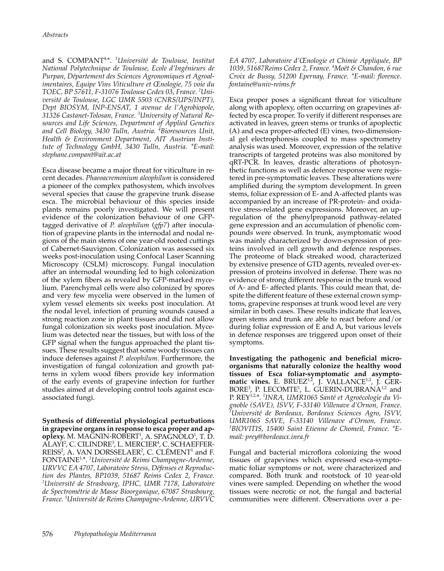and S. COMPANT4,\*. *<sup>1</sup> Université de Toulouse, Institut National Polytechnique de Toulouse, Ecole d'Ingénieurs de Purpan, Département des Sciences Agronomiques et Agroalimentaires, Equipe Vins Viticulture et Œnologie, 75 voie du TOEC, BP 57611, F-31076 Toulouse Cedex 03, France. <sup>2</sup> Université de Toulouse, LGC UMR 5503 (CNRS/UPS/INPT), Dept BIOSYM, INP-ENSAT, 1 avenue de l'Agrobiopole, 31326 Castanet-Tolosan, France. <sup>3</sup> University of Natural Resources and Life Sciences, Department of Applied Genetics and Cell Biology, 3430 Tulln, Austria. <sup>4</sup> Bioresources Unit, Health & Environment Department, AIT Austrian Institute of Technology GmbH, 3430 Tulln, Austria. \*E-mail: stephane.compant@ait.ac.at*

Esca disease became a major threat for viticulture in recent decades. *Phaeoacremonium aleophilum* is considered a pioneer of the complex pathosystem, which involves several species that cause the grapevine trunk disease esca. The microbial behaviour of this species inside plants remains poorly investigated. We will present evidence of the colonization behaviour of one GFPtagged derivative of *P. aleophilum* (*gfp7*) after inoculation of grapevine plants in the internodal and nodal regions of the main stems of one year-old rooted cuttings of Cabernet-Sauvignon. Colonization was assessed six weeks post-inoculation using Confocal Laser Scanning Microscopy (CSLM) microscopy. Fungal inoculation after an internodal wounding led to high colonization of the xylem fibers as revealed by GFP-marked mycelium. Parenchymal cells were also colonized by spores and very few mycelia were observed in the lumen of xylem vessel elements six weeks post inoculation. At the nodal level, infection of pruning wounds caused a strong reaction zone in plant tissues and did not allow fungal colonization six weeks post inoculation. Mycelium was detected near the tissues, but with loss of the GFP signal when the fungus approached the plant tissues. These results suggest that some woody tissues can induce defenses against *P. aleophilum*. Furthermore, the investigation of fungal colonization and growth patterns in xylem wood fibers provide key information of the early events of grapevine infection for further studies aimed at developing control tools against escaassociated fungi.

**Synthesis of differential physiological perturbations in grapevine organs in response to esca proper and apoplexy.** M. MAGNIN-ROBERT<sup>1</sup>, A. SPAGNOLO<sup>1</sup>, T. D. ALAYI², C. CILINDRE<sup>3</sup>, L. MERCIER<sup>4</sup>, C. SCHAEFFER-REISS<sup>2</sup>, A. VAN DORSSELAER<sup>2</sup>, C. CLÉMENT<sup>1</sup> and F. FONTAINE1,\*. *<sup>1</sup> Université de Reims Champagne-Ardenne, URVVC EA 4707, Laboratoire Stress, Défenses et Reproduction des Plantes, BP1039, 51687 Reims Cedex 2, France. 2 Université de Strasbourg, IPHC, UMR 7178, Laboratoire de Spectrométrie de Masse Bioorganique, 67087 Strasbourg, France. 3 Université de Reims Champagne-Ardenne, URVVC* 

*EA 4707, Laboratoire d'Œnologie et Chimie Appliquée, BP 1039, 51687Reims Cedex 2, France. <sup>4</sup> Moët & Chandon, 6 rue Croix de Bussy, 51200 Epernay, France. \*E-mail: florence. fontaine@univ-reims.fr*

Esca proper poses a significant threat for viticulture along with apoplexy, often occurring on grapevines affected by esca proper. To verify if different responses are activated in leaves, green stems or trunks of apoplectic (A) and esca proper-affected (E) vines, two-dimensional gel electrophoresis coupled to mass spectrometry analysis was used. Moreover, expression of the relative transcripts of targeted proteins was also monitored by qRT-PCR. In leaves, drastic alterations of photosynthetic functions as well as defence response were registered in pre-symptomatic leaves. These alterations were amplified during the symptom development. In green stems, foliar expression of E- and A-affected plants was accompanied by an increase of PR-protein- and oxidative stress-related gene expressions. Moreover, an upregulation of the phenylpropanoid pathway-related gene expression and an accumulation of phenolic compounds were observed. In trunk, asymptomatic wood was mainly characterized by down-expression of proteins involved in cell growth and defence responses. The proteome of black streaked wood, characterized by extensive presence of GTD agents, revealed over-expression of proteins involved in defense. There was no evidence of strong different response in the trunk wood of A- and E- affected plants. This could mean that, despite the different feature of these external crown symptoms, grapevine responses at trunk wood level are very similar in both cases. These results indicate that leaves, green stems and trunk are able to react before and/or during foliar expression of E and A, but various levels in defence responses are triggered upon onset of their symptoms.

**Investigating the pathogenic and beneficial microorganisms that naturally colonize the healthy wood tissues of Esca foliar-symptomatic and asympto**matic vines. E. BRUEZ<sup>1,2</sup>, J. VALLANCE<sup>1,2</sup>, J. GER- $BORE<sup>3</sup>$ , P. LECOMTE<sup>1</sup>, L. GUERIN-DUBRANA<sup>1,2</sup> and P. REY1,2,\*. *<sup>1</sup> INRA, UMR1065 Santé et Agroécologie du Vignoble (SAVE), ISVV, F-33140 Villenave d'Ornon, France. 2 Université de Bordeaux, Bordeaux Sciences Agro, ISVV, UMR1065 SAVE, F-33140 Villenave d'Ornon, France. 3 BIOVITIS, 15400 Saint Etienne de Chomeil, France. \*Email: prey@bordeaux.inra.fr*

Fungal and bacterial microflora colonizing the wood tissues of grapevines which expressed esca-symptomatic foliar symptoms or not, were characterized and compared. Both trunk and rootstock of 10 year-old vines were sampled. Depending on whether the wood tissues were necrotic or not, the fungal and bacterial communities were different. Observations over a pe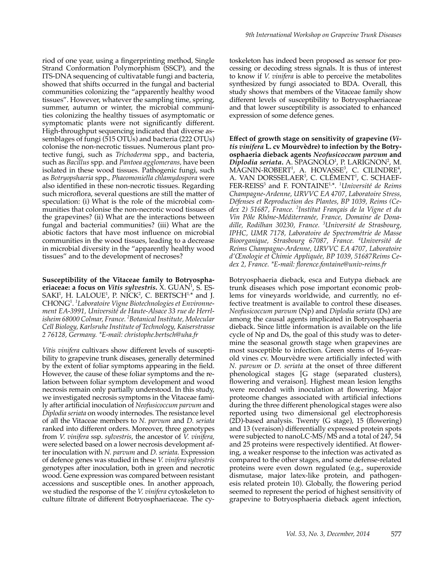riod of one year, using a fingerprinting method, Single Strand Conformation Polymorphism (SSCP), and the ITS-DNA sequencing of cultivatable fungi and bacteria, showed that shifts occurred in the fungal and bacterial communities colonizing the "apparently healthy wood tissues". However, whatever the sampling time, spring, summer, autumn or winter, the microbial communities colonizing the healthy tissues of asymptomatic or symptomatic plants were not significantly different. High-throughput sequencing indicated that diverse assemblages of fungi (515 OTUs) and bacteria (222 OTUs) colonise the non-necrotic tissues. Numerous plant protective fungi, such as *Trichoderma* spp., and bacteria, such as *Bacillus* spp. and *Pantoea agglomerans,* have been isolated in these wood tissues. Pathogenic fungi, such as *Botryopshaeria* spp., *Phaeomoniella chlamydospora* were also identified in these non-necrotic tissues. Regarding such microflora, several questions are still the matter of speculation: (i) What is the role of the microbial communities that colonise the non-necrotic wood tissues of the grapevines? (ii) What are the interactions between fungal and bacterial communities? (iii) What are the abiotic factors that have most influence on microbial communities in the wood tissues, leading to a decrease in microbial diversity in the "apparently healthy wood tissues" and to the development of necroses?

**Susceptibility of the Vitaceae family to Botryosphaeriaceae: a focus on** *Vitis sylvestris***.** X. GUAN<sup>1</sup> , S. ES- $SAKI<sup>1</sup>$ , H. LALOUE<sup>1</sup>, P. NICK<sup>2</sup>, C. BERTSCH<sup>1,\*</sup> and J. CHONG<sup>1</sup> . *1 Laboratoire Vigne Biotechnologies et Environnement EA-3991, Université de Haute-Alsace 33 rue de Herrlisheim 68000 Colmar, France. 2 Botanical Institute, Molecular Cell Biology, Karlsruhe Institute of Technology, Kaiserstrasse 2 76128, Germany. \*E-mail: christophe.bertsch@uha.fr*

*Vitis vinifera* cultivars show different levels of susceptibility to grapevine trunk diseases, generally determined by the extent of foliar symptoms appearing in the field. However, the cause of these foliar symptoms and the relation between foliar symptom development and wood necrosis remain only partially understood. In this study, we investigated necrosis symptoms in the Vitaceae family after artificial inoculation of *Neofusicoccum parvum* and *Diplodia seriata* on woody internodes*.* The resistance level of all the Vitaceae members to *N. parvum* and *D. seriata*  ranked into different orders. Moreover, three genotypes from *V. vinifera* ssp. *sylvestris*, the ancestor of *V. vinifera,* were selected based on a lower necrosis development after inoculation with *N. parvum* and *D. seriata*. Expression of defence genes was studied in these *V. vinifera sylvestris* genotypes after inoculation, both in green and necrotic wood. Gene expression was compared between resistant accessions and susceptible ones. In another approach, we studied the response of the *V. vinifera* cytoskeleton to culture filtrate of different Botryosphaeriaceae. The cy-

toskeleton has indeed been proposed as sensor for processing or decoding stress signals. It is thus of interest to know if *V. vinifera* is able to perceive the metabolites synthesized by fungi associated to BDA. Overall, this study shows that members of the Vitaceae family show different levels of susceptibility to Botryosphaeriaceae and that lower susceptibility is associated to enhanced expression of some defence genes.

**Effect of growth stage on sensitivity of grapevine (***Vitis vinifera* **L. cv Mourvèdre) to infection by the Botryosphaeria dieback agents** *Neofusicoccum parvum* **and**  Diplodia seriata. A. SPAGNOLO<sup>1</sup>, P. LARIGNON<sup>2</sup>, M.  $MAGNIN-ROBERT<sup>1</sup>, A. HOVASSE<sup>3</sup>, C. CILINDRE<sup>4</sup>,$ A. VAN DORSSELAER<sup>3</sup>, C. CLÉMENT<sup>1</sup>, C. SCHAEF-FER-REISS<sup>3</sup> and F. FONTAINE<sup>1,\*</sup>. <sup>1</sup>Université de Reims *Champagne-Ardenne, URVVC EA 4707, Laboratoire Stress, Défenses et Reproduction des Plantes, BP 1039, Reims (Cedex 2) 51687, France. <sup>2</sup> Institut Français de la Vigne et du Vin Pôle Rhône-Méditerranée, France, Domaine de Donadille, Rodilhan 30230, France. <sup>3</sup> Université de Strasbourg, IPHC, UMR 7178, Laboratoire de Spectrométrie de Masse Bioorganique, Strasbourg 67087, France. <sup>4</sup> Université de Reims Champagne-Ardenne, URVVC EA 4707, Laboratoire d'Œnologie et Chimie Appliquée, BP 1039, 51687Reims Cedex 2, France. \*E-mail: florence.fontaine@univ-reims.fr*

Botryosphaeria dieback, esca and Eutypa dieback are trunk diseases which pose important economic problems for vineyards worldwide, and currently, no effective treatment is available to control these diseases. *Neofusicoccum parvum* (Np) and *Diplodia seriata* (Ds) are among the causal agents implicated in Botryosphaeria dieback. Since little information is available on the life cycle of Np and Ds, the goal of this study was to determine the seasonal growth stage when grapevines are most susceptible to infection. Green stems of 16-yearold vines cv. Mourvèdre were artificially infected with *N. parvum* or *D. seriata* at the onset of three different phenological stages [G stage (separated clusters), flowering and veraison]. Highest mean lesion lengths were recorded with inoculation at flowering. Major proteome changes associated with artificial infections during the three different phenological stages were also reported using two dimensional gel electrophoresis (2D)-based analysis. Twenty (G stage), 15 (flowering) and 13 (veraison) differentially expressed protein spots were subjected to nanoLC-MS/MS and a total of 247, 54 and 25 proteins were respectively identified. At flowering, a weaker response to the infection was activated as compared to the other stages, and some defense-related proteins were even down regulated (e.g., superoxide dismutase, major latex-like protein, and pathogenesis related protein 10). Globally, the flowering period seemed to represent the period of highest sensitivity of grapevine to Botryosphaeria dieback agent infection,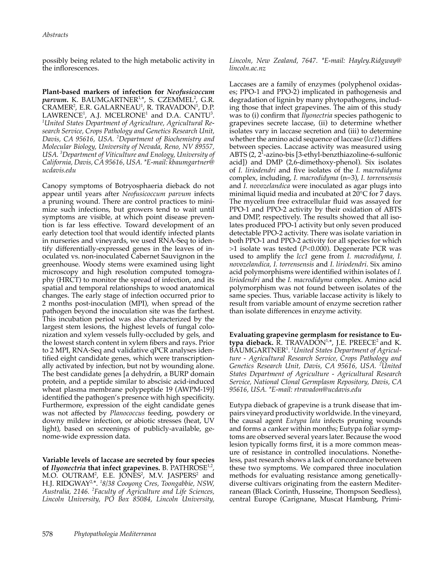possibly being related to the high metabolic activity in the inflorescences.

**Plant-based markers of infection for** *Neofusicoccum*  parvum. K. BAUMGARTNER<sup>1,</sup>\*, S. CZEMMEL<sup>2</sup>, G.R. CRAMER<sup>2</sup>, E.R. GALARNEAU<sup>1</sup>, R. TRAVADON<sup>1</sup>, D.P. LAWRENCE<sup>1</sup>, A.J. MCELRONE<sup>1</sup> and D.A. CANTU<sup>3</sup>.<br><sup>1</sup>United States Denartment of Aoriculture, Aoricultural Re-*United States Department of Agriculture, Agricultural Research Service, Crops Pathology and Genetics Research Unit, Davis, CA 95616, USA. <sup>2</sup> Department of Biochemistry and Molecular Biology, University of Nevada, Reno, NV 89557, USA. 3 Department of Viticulture and Enology, University of California, Davis, CA 95616, USA. \*E-mail: kbaumgartner@ ucdavis.edu*

Canopy symptoms of Botryosphaeria dieback do not appear until years after *Neofusicoccum parvum* infects a pruning wound. There are control practices to minimize such infections, but growers tend to wait until symptoms are visible, at which point disease prevention is far less effective. Toward development of an early detection tool that would identify infected plants in nurseries and vineyards, we used RNA-Seq to identify differentially-expressed genes in the leaves of inoculated vs. non-inoculated Cabernet Sauvignon in the greenhouse. Woody stems were examined using light microscopy and high resolution computed tomography (HRCT) to monitor the spread of infection, and its spatial and temporal relationships to wood anatomical changes. The early stage of infection occurred prior to 2 months post-inoculation (MPI), when spread of the pathogen beyond the inoculation site was the farthest. This incubation period was also characterized by the largest stem lesions, the highest levels of fungal colonization and xylem vessels fully-occluded by gels, and the lowest starch content in xylem fibers and rays. Prior to 2 MPI, RNA-Seq and validative qPCR analyses identified eight candidate genes, which were transcriptionally activated by infection, but not by wounding alone. The best candidate genes [a dehydrin, a BURP domain protein, and a peptide similar to abscisic acid-induced wheat plasma membrane polypeptide 19 (AWPM-19)] identified the pathogen's presence with high specificity. Furthermore, expression of the eight candidate genes was not affected by *Planococcus* feeding, powdery or downy mildew infection, or abiotic stresses (heat, UV light), based on screenings of publicly-available, genome-wide expression data.

**Variable levels of laccase are secreted by four species of** *Ilyonectria* **that infect grapevines.** B. PATHROSE1,2, M.O. OUTRAM<sup>2</sup>, E.E. JONES<sup>2</sup>, M.V. JASPERS<sup>2</sup> and H.J. RIDGWAY2,\*. *<sup>1</sup> 8/38 Cooyong Cres, Toongabbie, NSW, Australia, 2146. <sup>2</sup> Faculty of Agriculture and Life Sciences, Lincoln University, PO Box 85084, Lincoln University,* 

*Lincoln, New Zealand, 7647. \*E-mail: Hayley.Ridgway@ lincoln.ac.nz*

Laccases are a family of enzymes (polyphenol oxidases; PPO-1 and PPO-2) implicated in pathogenesis and degradation of lignin by many phytopathogens, including those that infect grapevines. The aim of this study was to (i) confirm that *Ilyonectria* species pathogenic to grapevines secrete laccase, (ii) to determine whether isolates vary in laccase secretion and (iii) to determine whether the amino acid sequence of laccase (*lcc1*) differs between species. Laccase activity was measured using ABTS (2, 2<sup>1</sup> -azino-bis [3-ethyl-benzthiazoline-6-sulfonic acid]) and DMP (2,6-dimethoxy-phenol). Six isolates of *I. liriodendri* and five isolates of the *I. macrodidyma* complex, including, *I. macrodidyma* (n=3), *I. torrensensis* and *I. novozelandica* were inoculated as agar plugs into minimal liquid media and incubated at 20°C for 7 days. The mycelium free extracellular fluid was assayed for PPO-1 and PPO-2 activity by their oxidation of ABTS and DMP, respectively. The results showed that all isolates produced PPO-1 activity but only seven produced detectable PPO-2 activity. There was isolate variation in both PPO-1 and PPO-2 activity for all species for which >1 isolate was tested (*P*<0.000). Degenerate PCR was used to amplify the *lcc1* gene from *I. macrodidyma, I. novozelandica, I. torrensensis* and *I. liriodendri*. Six amino acid polymorphisms were identified within isolates of *I. liriodendri* and the *I. macrodidyma* complex. Amino acid polymorphism was not found between isolates of the same species. Thus, variable laccase activity is likely to result from variable amount of enzyme secretion rather than isolate differences in enzyme activity.

**Evaluating grapevine germplasm for resistance to Eu**typa dieback. R. TRAVADON<sup>1,\*</sup>, J.E. PREECE<sup>2</sup> and K. BAUMGARTNER<sup>1</sup> . *1 United States Department of Agriculture - Agricultural Research Service, Crops Pathology and Genetics Research Unit, Davis, CA 95616, USA. <sup>2</sup> United States Department of Agriculture - Agricultural Research Service, National Clonal Germplasm Repository, Davis, CA 95616, USA. \*E-mail: rtravadon@ucdavis.edu*

Eutypa dieback of grapevine is a trunk disease that impairs vineyard productivity worldwide. In the vineyard, the causal agent *Eutypa lata* infects pruning wounds and forms a canker within months; Eutypa foliar symptoms are observed several years later. Because the wood lesion typically forms first, it is a more common measure of resistance in controlled inoculations. Nonetheless, past research shows a lack of concordance between these two symptoms. We compared three inoculation methods for evaluating resistance among geneticallydiverse cultivars originating from the eastern Mediterranean (Black Corinth, Husseine, Thompson Seedless), central Europe (Carignane, Muscat Hamburg, Primi-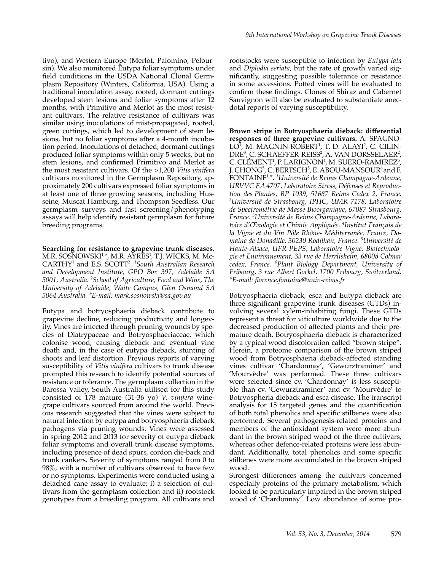tivo), and Western Europe (Merlot, Palomino, Peloursin). We also monitored Eutypa foliar symptoms under field conditions in the USDA National Clonal Germplasm Repository (Winters, California, USA). Using a traditional inoculation assay, rooted, dormant cuttings developed stem lesions and foliar symptoms after 12 months, with Primitivo and Merlot as the most resistant cultivars. The relative resistance of cultivars was similar using inoculations of mist-propagated, rooted, green cuttings, which led to development of stem lesions, but no foliar symptoms after a 4-month incubation period. Inoculations of detached, dormant cuttings produced foliar symptoms within only 5 weeks, but no stem lesions, and confirmed Primitivo and Merlot as the most resistant cultivars. Of the >1,200 *Vitis vinifera* cultivars monitored in the Germplasm Repository, approximately 200 cultivars expressed foliar symptoms in at least one of three growing seasons, including Husseine, Muscat Hamburg, and Thompson Seedless. Our germplasm surveys and fast screening/phenotyping assays will help identify resistant germplasm for future breeding programs.

**Searching for resistance to grapevine trunk diseases.**  M.R. SOSNOWSKI<sup>1,</sup>\*, M.R. AYRES<sup>1</sup>, T.J. WICKS, M. Mc-CARTHY<sup>1</sup> and E.S. SCOTT<sup>2</sup> . *1 South Australian Research and Development Institute, GPO Box 397, Adelaide SA 5001, Australia. 2 School of Agriculture, Food and Wine, The University of Adelaide, Waite Campus, Glen Osmond SA 5064 Australia. \*E-mail: mark.sosnowski@sa.gov.au*

Eutypa and botryosphaeria dieback contribute to grapevine decline, reducing productivity and longevity. Vines are infected through pruning wounds by species of Diatrypaceae and Botryosphaeriaceae, which colonise wood, causing dieback and eventual vine death and, in the case of eutypa dieback, stunting of shoots and leaf distortion. Previous reports of varying susceptibility of *Vitis vinifera* cultivars to trunk disease prompted this research to identify potential sources of resistance or tolerance. The germplasm collection in the Barossa Valley, South Australia utilised for this study consisted of 178 mature (31-36 yo) *V. vinifera* winegrape cultivars sourced from around the world. Previous research suggested that the vines were subject to natural infection by eutypa and botryosphaeria dieback pathogens via pruning wounds. Vines were assessed in spring 2012 and 2013 for severity of eutypa dieback foliar symptoms and overall trunk disease symptoms, including presence of dead spurs, cordon die-back and trunk cankers. Severity of symptoms ranged from 0 to 98%, with a number of cultivars observed to have few or no symptoms. Experiments were conducted using a detached cane assay to evaluate; i) a selection of cultivars from the germplasm collection and ii) rootstock genotypes from a breeding program. All cultivars and

rootstocks were susceptible to infection by *Eutypa lata*  and *Diplodia seriata*, but the rate of growth varied significantly, suggesting possible tolerance or resistance in some accessions. Potted vines will be evaluated to confirm these findings. Clones of Shiraz and Cabernet Sauvignon will also be evaluated to substantiate anecdotal reports of varying susceptibility.

**Brown stripe in Botryosphaeria dieback: differential responses of three grapevine cultivars.** A. SPAGNO-LO<sup>1</sup>, M. MAGNIN-ROBERT<sup>1</sup>, T. D. ALAYI<sup>2</sup>, C. CILIN-DRE<sup>3</sup>, C. SCHAEFFER-REISS<sup>2</sup>, A. VAN DORSSELAER<sup>2</sup>, C. CLÉMENT<sup>1</sup>, P. LARIGNON<sup>4</sup>, M. SUERO-RAMIREZ<sup>5</sup>, J.  $CHONG<sup>5</sup>$ , C.  $BERTSCH<sup>5</sup>$ , E. ABOU-MANSOUR<sup>6</sup> and F. FONTAINE1,\*. *<sup>1</sup> Université de Reims Champagne-Ardenne, URVVC EA 4707, Laboratoire Stress, Défenses et Reproduction des Plantes, BP 1039, 51687 Reims Cedex 2, France. <sup>2</sup> Université de Strasbourg, IPHC, UMR 7178, Laboratoire de Spectrométrie de Masse Bioorganique, 67087 Strasbourg, France. <sup>3</sup> Université de Reims Champagne-Ardenne, Laboratoire d'Œnologie et Chimie Appliquée. <sup>4</sup> Institut Français de la Vigne et du Vin Pôle Rhône- Méditerranée, France, Domaine de Donadille, 30230 Rodilhan, France. <sup>5</sup> Université de Haute-Alsace, UFR PEPS, Laboratoire Vigne, Biotechnologie et Environnement, 33 rue de Herrlisheim, 68008 Colmar cedex, France. <sup>6</sup> Plant Biology Department, University of Fribourg, 3 rue Albert Gockel, 1700 Fribourg, Switzerland. \*E-mail: florence.fontaine@univ-reims.fr*

Botryosphaeria dieback, esca and Eutypa dieback are three significant grapevine trunk diseases (GTDs) involving several xylem-inhabiting fungi. These GTDs represent a threat for viticulture worldwide due to the decreased production of affected plants and their premature death. Botryosphaeria dieback is characterized by a typical wood discoloration called "brown stripe". Herein, a proteome comparison of the brown striped wood from Botryosphaeria dieback-affected standing vines cultivar 'Chardonnay', 'Gewurztraminer' and 'Mourvèdre' was performed. These three cultivars were selected since cv. 'Chardonnay' is less susceptible than cv. 'Gewurztraminer' and cv. 'Mourvèdre' to Botryospheria dieback and esca disease. The transcript analysis for 15 targeted genes and the quantification of both total phenolics and specific stilbenes were also performed. Several pathogenesis-related proteins and members of the antioxidant system were more abundant in the brown striped wood of the three cultivars, whereas other defence-related proteins were less abundant. Additionally, total phenolics and some specific stilbenes were more accumulated in the brown striped wood.

Strongest differences among the cultivars concerned especially proteins of the primary metabolism, which looked to be particularly impaired in the brown striped wood of 'Chardonnay'. Low abundance of some pro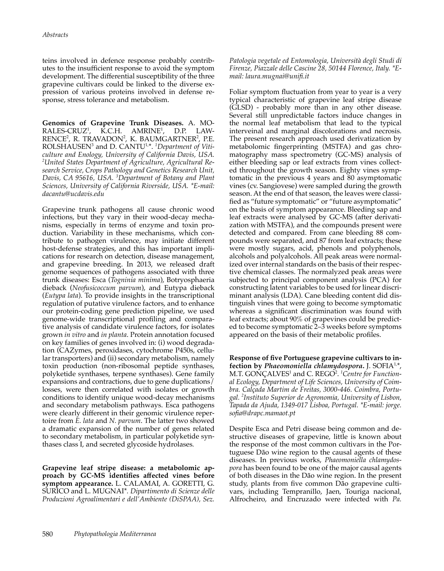teins involved in defence response probably contributes to the insufficient response to avoid the symptom development. The differential susceptibility of the three grapevine cultivars could be linked to the diverse expression of various proteins involved in defense response, stress tolerance and metabolism.

**Genomics of Grapevine Trunk Diseases.** A. MO- $RALES-CRUZ<sup>1</sup>$ .  $\overline{K}$ .C.H. AMRINE<sup>1</sup>, , D.P. LAW-RENCE<sup>2</sup>, R. TRAVADON<sup>2</sup>, K. BAUMGARTNER<sup>2</sup>, P.E. ROLSHAUSEN<sup>3</sup> and D. CANTU<sup>1,\*</sup>. <sup>1</sup>Department of Viti*culture and Enology, University of California Davis, USA. 2 United States Department of Agriculture, Agricultural Research Service, Crops Pathology and Genetics Research Unit, Davis, CA 95616, USA. <sup>3</sup> Department of Botany and Plant Sciences, University of California Riverside, USA. \*E-mail: dacantu@ucdavis.edu*

Grapevine trunk pathogens all cause chronic wood infections, but they vary in their wood-decay mechanisms, especially in terms of enzyme and toxin production. Variability in these mechanisms, which contribute to pathogen virulence, may initiate different host-defense strategies, and this has important implications for research on detection, disease management, and grapevine breeding. In 2013, we released draft genome sequences of pathogens associated with three trunk diseases: Esca (*Togninia minima*), Botryosphaeria dieback (*Neofusicoccum parvum*), and Eutypa dieback (*Eutypa lata*). To provide insights in the transcriptional regulation of putative virulence factors, and to enhance our protein-coding gene prediction pipeline, we used genome-wide transcriptional profiling and comparative analysis of candidate virulence factors, for isolates grown *in vitro* and *in planta*. Protein annotation focused on key families of genes involved in: (i) wood degradation (CAZymes, peroxidases, cytochrome P450s, cellular transporters) and (ii) secondary metabolism, namely toxin production (non-ribosomal peptide synthases, polyketide synthases, terpene synthases). Gene family expansions and contractions, due to gene duplications/ losses, were then correlated with isolates or growth conditions to identify unique wood-decay mechanisms and secondary metabolism pathways. Esca pathogens were clearly different in their genomic virulence repertoire from *E. lata* and *N. parvum*. The latter two showed a dramatic expansion of the number of genes related to secondary metabolism, in particular polyketide synthases class I, and secreted glycoside hydrolases*.*

**Grapevine leaf stripe disease: a metabolomic approach by GC-MS identifies affected vines before symptom appearance.** L. CALAMAI, A. GORETTI, G. SURICO and L. MUGNAI\**. Dipartimento di Scienze delle Produzioni Agroalimentari e dell'Ambiente (DiSPAA), Sez.* 

*Patologia vegetale ed Entomologia, Università degli Studi di Firenze, Piazzale delle Cascine 28, 50144 Florence, Italy. \*Email: laura.mugnai@unifi.it*

Foliar symptom fluctuation from year to year is a very typical characteristic of grapevine leaf stripe disease (GLSD) - probably more than in any other disease. Several still unpredictable factors induce changes in the normal leaf metabolism that lead to the typical interveinal and marginal discolorations and necrosis. The present research approach used derivatization by metabolomic fingerprinting (MSTFA) and gas chromatography mass spectrometry (GC-MS) analysis of either bleeding sap or leaf extracts from vines collected throughout the growth season. Eighty vines symptomatic in the previous 4 years and 80 asymptomatic vines (cv. Sangiovese) were sampled during the growth season. At the end of that season, the leaves were classified as "future symptomatic" or "future asymptomatic" on the basis of symptom appearance. Bleeding sap and leaf extracts were analysed by GC-MS (after derivatization with MSTFA), and the compounds present were detected and compared. From cane bleeding 88 compounds were separated, and 87 from leaf extracts; these were mostly sugars, acid, phenols and polyphenols, alcohols and polyalcohols. All peak areas were normalized over internal standards on the basis of their respective chemical classes. The normalyzed peak areas were subjected to principal component analysis (PCA) for constructing latent variables to be used for linear discriminant analysis (LDA). Cane bleeding content did distinguish vines that were going to become symptomatic whereas a significant discrimination was found with leaf extracts; about 90% of grapevines could be predicted to become symptomatic 2‒3 weeks before symptoms appeared on the basis of their metabolic profiles.

**Response of five Portuguese grapevine cultivars to infection by** *Phaeomoniella chlamydospora***.** J. SOFIA1,\*, M.T. GONÇALVES<sup>1</sup> and C. REGO<sup>2</sup>. <sup>1</sup>Centre for Function*al Ecology, Department of Life Sciences, University of Coimbra. Calçada Martim de Freitas, 3000-446. Coimbra, Portugal. <sup>2</sup> Instituto Superior de Agronomia, University of Lisbon, Tapada da Ajuda, 1349-017 Lisboa, Portugal. \*E-mail: jorge. sofia@drapc.mamaot.pt*

Despite Esca and Petri disease being common and destructive diseases of grapevine, little is known about the response of the most common cultivars in the Portuguese Dão wine region to the causal agents of these diseases. In previous works, *Phaeomoniella chlamydospora* has been found to be one of the major causal agents of both diseases in the Dão wine region. In the present study, plants from five common Dão grapevine cultivars, including Tempranillo, Jaen, Touriga nacional, Alfrocheiro, and Encruzado were infected with *Pa.*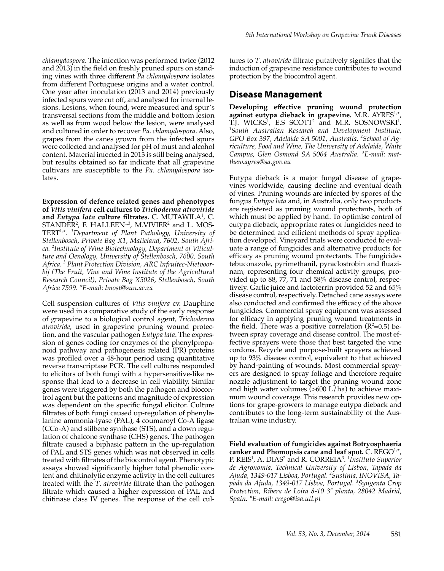*chlamydospora*. The infection was performed twice (2012 and 2013) in the field on freshly pruned spurs on standing vines with three different *Pa chlamydospora* isolates from different Portuguese origins and a water control. One year after inoculation (2013 and 2014) previously infected spurs were cut off, and analysed for internal lesions. Lesions, when found, were measured and spur's transversal sections from the middle and bottom lesion as well as from wood below the lesion, were analysed and cultured in order to recover *Pa. chlamydospora*. Also, grapes from the canes grown from the infected spurs were collected and analysed for pH of must and alcohol content. Material infected in 2013 is still being analysed, but results obtained so far indicate that all grapevine cultivars are susceptible to the *Pa. chlamydospora* isolates.

**Expression of defence related genes and phenotypes of** *Vitis vinifera* **cell cultures to** *Trichoderma atroviride* **and** *Eutypa lata* **culture filtrates.** C. MUTAWILA<sup>1</sup> , C.  $STANDER<sup>2</sup>$ , F. HALLEEN<sup>1,3</sup>, M.VIVIER<sup>2</sup> and L. MOS-TERT1,\*. *<sup>1</sup> Department of Plant Pathology, University of Stellenbosch, Private Bag X1, Matieland, 7602, South Africa. <sup>2</sup> Institute of Wine Biotechnology, Department of Viticulture and Oenology, University of Stellenbosch, 7600, South Africa. 3 Plant Protection Division, ARC Infruitec-Nietvoorbij (The Fruit, Vine and Wine Institute of the Agricultural Research Council), Private Bag X5026, Stellenbosch, South Africa 7599. \*E-mail: lmost@sun.ac.za*

Cell suspension cultures of *Vitis vinifera* cv. Dauphine were used in a comparative study of the early response of grapevine to a biological control agent, *Trichoderma atroviride*, used in grapevine pruning wound protection, and the vascular pathogen *Eutypa lata*. The expression of genes coding for enzymes of the phenylpropanoid pathway and pathogenesis related (PR) proteins was profiled over a 48-hour period using quantitative reverse transcriptase PCR. The cell cultures responded to elicitors of both fungi with a hypersensitive-like response that lead to a decrease in cell viability. Similar genes were triggered by both the pathogen and biocontrol agent but the patterns and magnitude of expression was dependent on the specific fungal elicitor. Culture filtrates of both fungi caused up-regulation of phenylalanine ammonia-lyase (PAL), 4 coumaroyl Co-A ligase (CCo-A) and stilbene synthase (STS), and a down regulation of chalcone synthase (CHS) genes. The pathogen filtrate caused a biphasic pattern in the up-regulation of PAL and STS genes which was not observed in cells treated with filtrates of the biocontrol agent. Phenotypic assays showed significantly higher total phenolic content and chitinolytic enzyme activity in the cell cultures treated with the *T*. *atroviride* filtrate than the pathogen filtrate which caused a higher expression of PAL and chitinase class IV genes. The response of the cell cultures to *T*. *atroviride* filtrate putatively signifies that the induction of grapevine resistance contributes to wound protection by the biocontrol agent.

#### **Disease Management**

**Developing effective pruning wound protection**  against eutypa dieback in grapevine. M.R. AYRES<sup>1,\*</sup> T.J. WICKS<sup>1</sup>, E.S SCOTT<sup>2</sup> and M.R. SOSNOWSKI<sup>1</sup>.<br><sup>1</sup>South Australian Research and Development Institute *South Australian Research and Development Institute, GPO Box 397, Adelaide SA 5001, Australia. <sup>2</sup> School of Agriculture, Food and Wine, The University of Adelaide, Waite Campus, Glen Osmond SA 5064 Australia. \*E-mail: matthew.ayres@sa.gov.au*

Eutypa dieback is a major fungal disease of grapevines worldwide, causing decline and eventual death of vines. Pruning wounds are infected by spores of the fungus *Eutypa lata* and, in Australia, only two products are registered as pruning wound protectants, both of which must be applied by hand. To optimise control of eutypa dieback, appropriate rates of fungicides need to be determined and efficient methods of spray application developed. Vineyard trials were conducted to evaluate a range of fungicides and alternative products for efficacy as pruning wound protectants. The fungicides tebuconazole, pyrimethanil, pyraclostrobin and fluazinam, representing four chemical activity groups, provided up to 88, 77, 71 and 58% disease control, respectively. Garlic juice and lactoferrin provided 52 and 65% disease control, respectively. Detached cane assays were also conducted and confirmed the efficacy of the above fungicides. Commercial spray equipment was assessed for efficacy in applying pruning wound treatments in the field. There was a positive correlation  $(R^2=0.5)$  between spray coverage and disease control. The most effective sprayers were those that best targeted the vine cordons. Recycle and purpose-built sprayers achieved up to 93% disease control, equivalent to that achieved by hand-painting of wounds. Most commercial sprayers are designed to spray foliage and therefore require nozzle adjustment to target the pruning wound zone and high water volumes  $(>600 \text{ L/ha})$  to achieve maximum wound coverage. This research provides new options for grape-growers to manage eutypa dieback and contributes to the long-term sustainability of the Australian wine industry.

**Field evaluation of fungicides against Botryosphaeria**  canker and Phomopsis cane and leaf spot. C. REGO<sup>1,\*</sup>, P. REIS<sup>1</sup>, A. DIAS<sup>2</sup> and R. CORREIA<sup>3</sup>. <sup>1</sup>*Instituto Superior de Agronomia, Technical University of Lisbon, Tapada da Ajuda, 1349-017 Lisboa, Portugal. <sup>2</sup> Sustinia, INOVISA, Tapada da Ajuda, 1349-017 Lisboa, Portugal. <sup>3</sup> Syngenta Crop Protection, Ribera de Loira 8-10 3ª planta, 28042 Madrid, Spain. \*E-mail: crego@isa.utl.pt*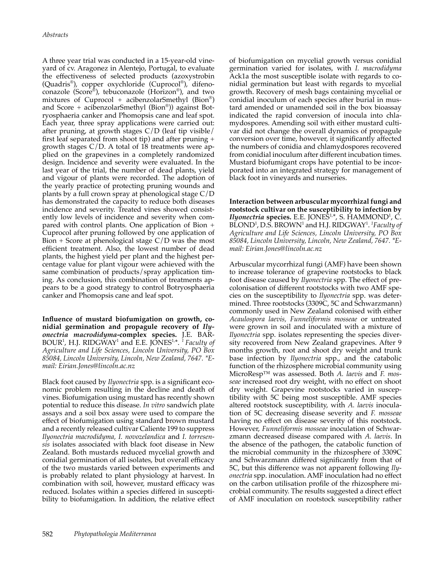A three year trial was conducted in a 15-year-old vineyard of cv. Aragonez in Alentejo, Portugal, to evaluate the effectiveness of selected products (azoxystrobin (Quadris®), copper oxychloride (Cuprocol®), difenoconazole (Score®), tebuconazole (Horizon®), and two mixtures of Cuprocol + acibenzolarSmethyl (Bion®) and Score + acibenzolarSmethyl (Bion®)) against Botryosphaeria canker and Phomopsis cane and leaf spot. Each year, three spray applications were carried out: after pruning, at growth stages C/D (leaf tip visible/ first leaf separated from shoot tip) and after pruning + growth stages C/D. A total of 18 treatments were applied on the grapevines in a completely randomized design. Incidence and severity were evaluated. In the last year of the trial, the number of dead plants, yield and vigour of plants were recorded. The adoption of the yearly practice of protecting pruning wounds and plants by a full crown spray at phenological stage C/D has demonstrated the capacity to reduce both diseases incidence and severity. Treated vines showed consistently low levels of incidence and severity when compared with control plants. One application of Bion + Cuprocol after pruning followed by one application of Bion + Score at phenological stage C/D was the most efficient treatment. Also, the lowest number of dead plants, the highest yield per plant and the highest percentage value for plant vigour were achieved with the same combination of products/spray application timing. As conclusion, this combination of treatments appears to be a good strategy to control Botryosphaeria canker and Phomopsis cane and leaf spot.

**Influence of mustard biofumigation on growth, conidial germination and propagule recovery of** *Ilyonectria macrodidyma***-complex species.** J.E. BAR-BOUR<sup>1</sup>, H.J. RIDGWAY<sup>1</sup> and E.E. JONES<sup>1,\*</sup>. <sup>1</sup> Faculty of *Agriculture and Life Sciences, Lincoln University, PO Box 85084, Lincoln University, Lincoln, New Zealand, 7647. \*Email: Eirian.Jones@lincoln.ac.nz*

Black foot caused by *Ilyonectria* spp. is a significant economic problem resulting in the decline and death of vines. Biofumigation using mustard has recently shown potential to reduce this disease. *In vitro* sandwich plate assays and a soil box assay were used to compare the effect of biofumigation using standard brown mustard and a recently released cultivar Caliente 199 to suppress *Ilyonectria macrodidyma, I. novozelandica* and *I. torresensis* isolates associated with black foot disease in New Zealand. Both mustards reduced mycelial growth and conidial germination of all isolates, but overall efficacy of the two mustards varied between experiments and is probably related to plant physiology at harvest. In combination with soil, however, mustard efficacy was reduced. Isolates within a species differed in susceptibility to biofumigation. In addition, the relative effect

of biofumigation on mycelial growth versus conidial germination varied for isolates, with *I. macrodidyma*  Ack1a the most susceptible isolate with regards to conidial germination but least with regards to mycelial growth. Recovery of mesh bags containing mycelial or conidial inoculum of each species after burial in mustard amended or unamended soil in the box bioassay indicated the rapid conversion of inocula into chlamydospores. Amending soil with either mustard cultivar did not change the overall dynamics of propagule conversion over time, however, it significantly affected the numbers of conidia and chlamydospores recovered from conidial inoculum after different incubation times. Mustard biofumigant crops have potential to be incorporated into an integrated strategy for management of black foot in vineyards and nurseries.

**Interaction between arbuscular mycorrhizal fungi and rootstock cultivar on the susceptibility to infection by**  *Ilyonectria* species. E.E. JONES<sup>1,\*</sup>, S. HAMMOND<sup>1</sup>, C. BLOND<sup>1</sup>, D.S. BROWN<sup>1</sup> and H.J. RIDGWAY<sup>1</sup>. <sup>1</sup>Faculty of *Agriculture and Life Sciences, Lincoln University, PO Box 85084, Lincoln University, Lincoln, New Zealand, 7647. \*Email: Eirian.Jones@lincoln.ac.nz*

Arbuscular mycorrhizal fungi (AMF) have been shown to increase tolerance of grapevine rootstocks to black foot disease caused by *Ilyonectria* spp. The effect of precolonisation of different rootstocks with two AMF species on the susceptibility to *Ilyonectria* spp. was determined. Three rootstocks (3309C, 5C and Schwarzmann) commonly used in New Zealand colonised with either *Acaulospora laevis, Funneliformis mosseae* or untreated were grown in soil and inoculated with a mixture of *Ilyonectria* spp. isolates representing the species diversity recovered from New Zealand grapevines. After 9 months growth, root and shoot dry weight and trunk base infection by *Ilyonectria* spp., and the catabolic function of the rhizosphere microbial community using MicroResp™ was assessed. Both *A. laevis* and *F. mosseae* increased root dry weight, with no effect on shoot dry weight. Grapevine rootstocks varied in susceptibility with 5C being most susceptible. AMF species altered rootstock susceptibility, with *A. laevis* inoculation of 5C decreasing disease severity and *F. mosseae* having no effect on disease severity of this rootstock. However, *Funneliformis mosseae* inoculation of Schwarzmann decreased disease compared with *A. laevis*. In the absence of the pathogen, the catabolic function of the microbial community in the rhizosphere of 3309C and Schwarzmann differed significantly from that of 5C, but this difference was not apparent following *Ilyonectria* spp. inoculation. AMF inoculation had no effect on the carbon utilisation profile of the rhizosphere microbial community. The results suggested a direct effect of AMF inoculation on rootstock susceptibility rather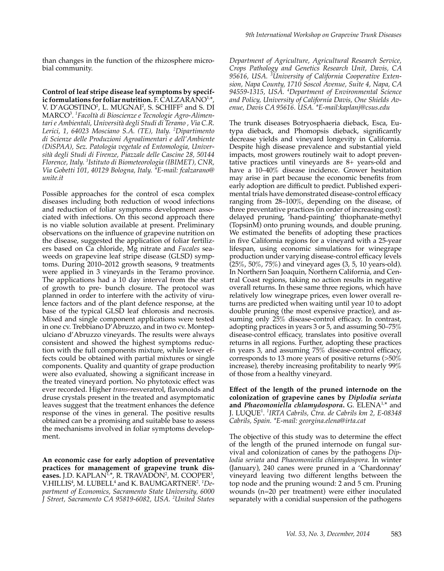than changes in the function of the rhizosphere microbial community.

**Control of leaf stripe disease leaf symptoms by specif**ic formulations for foliar nutrition. F. CALZARANO<sup>1,\*</sup>, V. D'AGOSTINO<sup>1</sup>, L. MUGNAI<sup>2</sup>, S. SCHIFF<sup>2</sup> and S. DI MARCO<sup>3</sup> . *1 Facoltà di Bioscienze e Tecnologie Agro-Alimentari e Ambientali, Università degli Studi di Teramo , Via C.R. Lerici, 1, 64023 Mosciano S.A. (TE), Italy. <sup>2</sup> Dipartimento di Scienze delle Produzioni Agroalimentari e dell'Ambiente (DiSPAA), Sez. Patologia vegetale ed Entomologia, Università degli Studi di Firenze, Piazzale delle Cascine 28, 50144 Florence, Italy. 3 Istituto di Biometeorologia (IBIMET), CNR, Via Gobetti 101, 40129 Bologna, Italy. \*E-mail: fcalzarano@ unite.it*

Possible approaches for the control of esca complex diseases including both reduction of wood infections and reduction of foliar symptoms development associated with infections. On this second approach there is no viable solution available at present. Preliminary observations on the influence of grapevine nutrition on the disease, suggested the application of foliar fertilizers based on Ca chloride, Mg nitrate and *Fucales* seaweeds on grapevine leaf stripe disease (GLSD) symptoms. During 2010–2012 growth seasons, 9 treatments were applied in 3 vineyards in the Teramo province. The applications had a 10 day interval from the start of growth to pre- bunch closure. The protocol was planned in order to interfere with the activity of virulence factors and of the plant defence response, at the base of the typical GLSD leaf chlorosis and necrosis. Mixed and single component applications were tested in one cv. Trebbiano D'Abruzzo, and in two cv. Montepulciano d'Abruzzo vineyards. The results were always consistent and showed the highest symptoms reduction with the full components mixture, while lower effects could be obtained with partial mixtures or single components. Quality and quantity of grape production were also evaluated, showing a significant increase in the treated vineyard portion. No phytotoxic effect was ever recorded. Higher *trans*-resveratrol, flavonoids and druse crystals present in the treated and asymptomatic leaves suggest that the treatment enhances the defence response of the vines in general. The positive results obtained can be a promising and suitable base to assess the mechanisms involved in foliar symptoms development.

**An economic case for early adoption of preventative practices for management of grapevine trunk dis**eases. J.D. KAPLAN<sup>1,\*</sup>, R. TRAVADON<sup>2</sup>, M. COOPER<sup>3</sup>, V.HILLIS<sup>4</sup>, M. LUBELL<sup>4</sup> and K. BAUMGARTNER<sup>2</sup>. <sup>1</sup>De*partment of Economics, Sacramento State University, 6000 J Street, Sacramento CA 95819-6082, USA. <sup>2</sup> United States* 

*Department of Agriculture, Agricultural Research Service, Crops Pathology and Genetics Research Unit, Davis, CA 95616, USA. <sup>3</sup> University of California Cooperative Extension, Napa County, 1710 Soscol Avenue, Suite 4, Napa, CA 94559-1315, USA. <sup>4</sup> Department of Environmental Science and Policy, University of California Davis, One Shields Avenue, Davis CA 95616. USA. \*E-mail:kaplanj@csus.edu*

The trunk diseases Botryosphaeria dieback, Esca, Eutypa dieback, and Phomopsis dieback, significantly decrease yields and vineyard longevity in California. Despite high disease prevalence and substantial yield impacts, most growers routinely wait to adopt preventative practices until vineyards are 8+ years-old and have a 10–40% disease incidence. Grower hesitation may arise in part because the economic benefits from early adoption are difficult to predict. Published experimental trials have demonstrated disease-control efficacy ranging from 28–100%, depending on the disease, of three preventative practices (in order of increasing cost): delayed pruning, 'hand-painting' thiophanate-methyl (TopsinM) onto pruning wounds, and double pruning. We estimated the benefits of adopting these practices in five California regions for a vineyard with a 25-year lifespan, using economic simulations for winegrape production under varying disease-control efficacy levels  $(25\%, 50\%, 75\%)$  and vineyard ages  $(3, 5, 10 \text{ years-old}).$ In Northern San Joaquin, Northern California, and Central Coast regions, taking no action results in negative overall returns. In these same three regions, which have relatively low winegrape prices, even lower overall returns are predicted when waiting until year 10 to adopt double pruning (the most expensive practice), and assuming only 25% disease-control efficacy. In contrast, adopting practices in years 3 or 5, and assuming 50–75% disease-control efficacy, translates into positive overall returns in all regions. Further, adopting these practices in years 3, and assuming 75% disease-control efficacy, corresponds to 13 more years of positive returns (>50% increase), thereby increasing profitability to nearly 99% of those from a healthy vineyard.

**Effect of the length of the pruned internode on the colonization of grapevine canes by** *Diplodia seriata* **and** *Phaeomoniella chlamydospora***.** G. ELENA1,\* and J. LUQUE<sup>1</sup> . *1 IRTA Cabrils, Ctra. de Cabrils km 2, E-08348 Cabrils, Spain. \*E-mail: georgina.elena@irta.cat*

The objective of this study was to determine the effect of the length of the pruned internode on fungal survival and colonization of canes by the pathogens *Diplodia seriata* and *Phaeomoniella chlamydospora*. In winter (January), 240 canes were pruned in a 'Chardonnay' vineyard leaving two different lengths between the top node and the pruning wound: 2 and 5 cm. Pruning wounds (n=20 per treatment) were either inoculated separately with a conidial suspension of the pathogens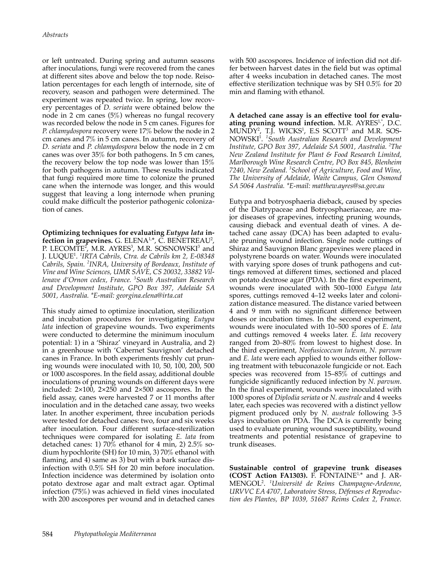or left untreated. During spring and autumn seasons after inoculations, fungi were recovered from the canes at different sites above and below the top node. Reisolation percentages for each length of internode, site of recovery, season and pathogen were determined. The experiment was repeated twice. In spring, low recovery percentages of *D. seriata* were obtained below the node in 2 cm canes (5%) whereas no fungal recovery was recorded below the node in 5 cm canes. Figures for *P. chlamydospora* recovery were 17% below the node in 2 cm canes and 7% in 5 cm canes. In autumn, recovery of *D. seriata* and *P. chlamydospora* below the node in 2 cm canes was over 35% for both pathogens. In 5 cm canes, the recovery below the top node was lower than 15% for both pathogens in autumn. These results indicated that fungi required more time to colonize the pruned cane when the internode was longer, and this would suggest that leaving a long internode when pruning could make difficult the posterior pathogenic colonization of canes.

**Optimizing techniques for evaluating** *Eutypa lata* **infection in grapevines.** G. ELENA1,\*, C. BENETREAU<sup>2</sup> , P. LECOMTE<sup>2</sup>, M.R. AYRES<sup>3</sup>, M.R. SOSNOWSKI<sup>3</sup> and J. LUQUE<sup>1</sup> . *1 IRTA Cabrils, Ctra. de Cabrils km 2, E-08348 Cabrils, Spain. <sup>2</sup> INRA, University of Bordeaux, Institute of Vine and Wine Sciences, UMR SAVE, CS 20032, 33882 Villenave d'Ornon cedex, France. <sup>3</sup> South Australian Research and Development Institute, GPO Box 397, Adelaide SA 5001, Australia. \*E-mail: georgina.elena@irta.cat*

This study aimed to optimize inoculation, sterilization and incubation procedures for investigating *Eutypa lata* infection of grapevine wounds. Two experiments were conducted to determine the minimum inoculum potential: 1) in a 'Shiraz' vineyard in Australia, and 2) in a greenhouse with 'Cabernet Sauvignon' detached canes in France. In both experiments freshly cut pruning wounds were inoculated with 10, 50, 100, 200, 500 or 1000 ascospores. In the field assay, additional double inoculations of pruning wounds on different days were included: 2×100, 2×250 and 2×500 ascospores. In the field assay, canes were harvested 7 or 11 months after inoculation and in the detached cane assay, two weeks later. In another experiment, three incubation periods were tested for detached canes: two, four and six weeks after inoculation. Four different surface-sterilization techniques were compared for isolating *E. lata* from detached canes: 1) 70% ethanol for 4 min, 2) 2.5% sodium hypochlorite (SH) for 10 min, 3) 70% ethanol with flaming, and 4) same as 3) but with a bark surface disinfection with 0.5% SH for 20 min before inoculation. Infection incidence was determined by isolation onto potato dextrose agar and malt extract agar. Optimal infection (75%) was achieved in field vines inoculated with 200 ascospores per wound and in detached canes

with 500 ascospores. Incidence of infection did not differ between harvest dates in the field but was optimal after 4 weeks incubation in detached canes. The most effective sterilization technique was by SH 0.5% for 20 min and flaming with ethanol.

**A detached cane assay is an effective tool for evalu**ating pruning wound infection. M.R. AYRES<sup>1,\*</sup>, D.C.  $MUNDY<sup>2</sup>$ , T.J. WICKS<sup>1</sup>, E.S SCOTT<sup>3</sup> and M.R. SOS-NOWSKI<sup>1</sup> . *1 South Australian Research and Development Institute, GPO Box 397, Adelaide SA 5001, Australia. <sup>2</sup> The New Zealand Institute for Plant & Food Research Limited, Marlborough Wine Research Centre, PO Box 845, Blenheim 7240, New Zealand. <sup>3</sup> School of Agriculture, Food and Wine, The University of Adelaide, Waite Campus, Glen Osmond SA 5064 Australia. \*E-mail: matthew.ayres@sa.gov.au*

Eutypa and botryosphaeria dieback, caused by species of the Diatrypaceae and Botryosphaeriaceae, are major diseases of grapevines, infecting pruning wounds, causing dieback and eventual death of vines. A detached cane assay (DCA) has been adapted to evaluate pruning wound infection. Single node cuttings of Shiraz and Sauvignon Blanc grapevines were placed in polystyrene boards on water. Wounds were inoculated with varying spore doses of trunk pathogens and cuttings removed at different times, sectioned and placed on potato dextrose agar (PDA). In the first experiment, wounds were inoculated with 500–1000 *Eutypa lata* spores, cuttings removed 4–12 weeks later and colonization distance measured. The distance varied between 4 and 9 mm with no significant difference between doses or incubation times. In the second experiment, wounds were inoculated with 10–500 spores of *E. lata* and cuttings removed 4 weeks later. *E. lata* recovery ranged from 20–80% from lowest to highest dose. In the third experiment, *Neofusicoccum luteum, N. parvum*  and *E. lata* were each applied to wounds either following treatment with tebuconazole fungicide or not. Each species was recovered from 15–85% of cuttings and fungicide significantly reduced infection by *N. parvum*. In the final experiment, wounds were inoculated with 1000 spores of *Diplodia seriata* or *N. australe* and 4 weeks later, each species was recovered with a distinct yellow pigment produced only by *N. australe* following 3-5 days incubation on PDA. The DCA is currently being used to evaluate pruning wound susceptibility, wound treatments and potential resistance of grapevine to trunk diseases.

**Sustainable control of grapevine trunk diseases (COST Action FA1303).** F. FONTAINE1,\* and J. AR-MENGOL<sup>2</sup> . *<sup>1</sup> Université de Reims Champagne-Ardenne, URVVC EA 4707, Laboratoire Stress, Défenses et Reproduction des Plantes, BP 1039, 51687 Reims Cedex 2, France.*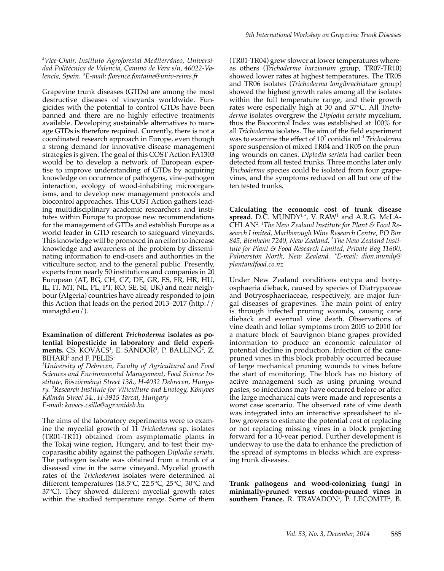#### *2 Vice-Chair, Instituto Agroforestal Mediterráneo, Universidad Politécnica de Valencia, Camino de Vera s/n, 46022-Valencia, Spain. \*E-mail: florence.fontaine@univ-reims.fr*

Grapevine trunk diseases (GTDs) are among the most destructive diseases of vineyards worldwide. Fungicides with the potential to control GTDs have been banned and there are no highly effective treatments available. Developing sustainable alternatives to manage GTDs is therefore required. Currently, there is not a coordinated research approach in Europe, even though a strong demand for innovative disease management strategies is given. The goal of this COST Action FA1303 would be to develop a network of European expertise to improve understanding of GTDs by acquiring knowledge on occurrence of pathogens, vine-pathogen interaction, ecology of wood-inhabiting microorganisms, and to develop new management protocols and biocontrol approaches. This COST Action gathers leading multidisciplinary academic researchers and institutes within Europe to propose new recommendations for the management of GTDs and establish Europe as a world leader in GTD research to safeguard vineyards. This knowledge will be promoted in an effort to increase knowledge and awareness of the problem by disseminating information to end-users and authorities in the viticulture sector, and to the general public. Presently, experts from nearly 50 institutions and companies in 20 European (AT, BG, CH, CZ, DE, GR, ES, FR, HR, HU, IL, IT, MT, NL, PL, PT, RO, SE, SI, UK) and near neighbour (Algeria) countries have already responded to join this Action that leads on the period 2013–2017 (http:// managtd.eu/).

#### **Examination of different** *Trichoderma* **isolates as potential biopesticide in laboratory and field experi**ments. CS. KOVÁCS<sup>1</sup>, E. SÁNDOR<sup>1</sup>, P. BALLING<sup>2</sup>, Z.  $\rm BHARI^{2}$  and F.  $\rm PELES^{1}$

*1 University of Debrecen, Faculty of Agricultural and Food Sciences and Environmental Management, Food Science Institute, Böszörményi Street 138., H-4032 Debrecen, Hungary. <sup>2</sup> Research Institute for Viticulture and Enology, Könyves Kálmán Street 54., H-3915 Tarcal, Hungary E-mail: kovacs.csilla@agr.unideb.hu*

The aims of the laboratory experiments were to examine the mycelial growth of 11 *Trichoderma* sp. isolates (TR01-TR11) obtained from asymptomatic plants in the Tokaj wine region, Hungary, and to test their mycoparasitic ability against the pathogen *Diplodia seriata*. The pathogen isolate was obtained from a trunk of a diseased vine in the same vineyard. Mycelial growth rates of the *Trichoderma* isolates were determined at different temperatures (18.5°C, 22.5°C, 25°C, 30°C and 37°C). They showed different mycelial growth rates within the studied temperature range. Some of them

(TR01-TR04) grew slower at lower temperatures whereas others (*Trichoderma harzianum* group, TR07-TR10) showed lower rates at highest temperatures. The TR05 and TR06 isolates (*Trichoderma longibrachiatum* group) showed the highest growth rates among all the isolates within the full temperature range, and their growth rates were especially high at 30 and 37°C. All *Trichoderma* isolates overgrew the *Diplodia seriata* mycelium, thus the Biocontrol Index was established at 100% for all *Trichoderma* isolates. The aim of the field experiment was to examine the effect of 10<sup>7</sup> conidia ml<sup>-1</sup> *Trichoderma* spore suspension of mixed TR04 and TR05 on the pruning wounds on canes. *Diplodia seriata* had earlier been detected from all tested trunks. Three months later only *Trichoderma* species could be isolated from four grapevines, and the symptoms reduced on all but one of the ten tested trunks.

**Calculating the economic cost of trunk disease**  spread. D.C. MUNDY<sup>1,\*</sup>, V. RAW<sup>1</sup> and A.R.G. McLA-CHLAN<sup>2</sup> . *1 The New Zealand Institute for Plant & Food Research Limited, Marlborough Wine Research Centre, PO Box 845, Blenheim 7240, New Zealand. 2 The New Zealand Institute for Plant & Food Research Limited, Private Bag 11600, Palmerston North, New Zealand. \*E-mail: dion.mundy@ plantandfood.co.nz*

Under New Zealand conditions eutypa and botryosphaeria dieback, caused by species of Diatrypaceae and Botryosphaeriaceae, respectively, are major fungal diseases of grapevines. The main point of entry is through infected pruning wounds, causing cane dieback and eventual vine death. Observations of vine death and foliar symptoms from 2005 to 2010 for a mature block of Sauvignon blanc grapes provided information to produce an economic calculator of potential decline in production. Infection of the canepruned vines in this block probably occurred because of large mechanical pruning wounds to vines before the start of monitoring. The block has no history of active management such as using pruning wound pastes, so infections may have occurred before or after the large mechanical cuts were made and represents a worst case scenario. The observed rate of vine death was integrated into an interactive spreadsheet to allow growers to estimate the potential cost of replacing or not replacing missing vines in a block projecting forward for a 10-year period. Further development is underway to use the data to enhance the prediction of the spread of symptoms in blocks which are expressing trunk diseases.

**Trunk pathogens and wood-colonizing fungi in minimally-pruned versus cordon-pruned vines in**  southern France. R. TRAVADON<sup>1</sup>, P. LECOMTE<sup>2</sup>, B.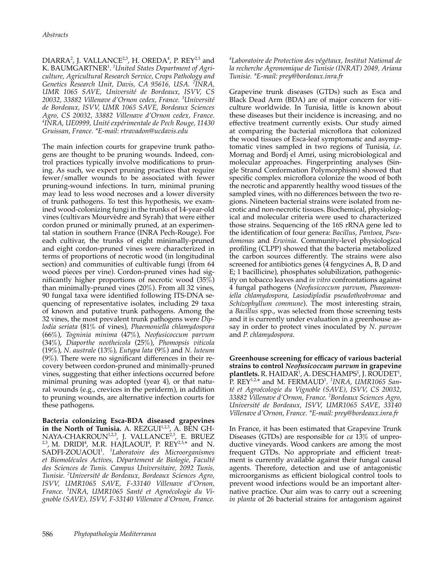$DIARRA<sup>2</sup>$ , J. VALLANCE<sup>2,3</sup>, H. OREDA<sup>4</sup>, P. REY<sup>2,3</sup> and K. BAUMGARTNER<sup>1</sup> . *1 United States Department of Agriculture, Agricultural Research Service, Crops Pathology and Genetics Research Unit, Davis, CA 95616, USA. <sup>2</sup> INRA, UMR 1065 SAVE, Université de Bordeaux, ISVV, CS 20032, 33882 Villenave d'Ornon cedex, France. <sup>3</sup> Université de Bordeaux, ISVV, UMR 1065 SAVE, Bordeaux Sciences Agro, CS 20032, 33882 Villenave d'Ornon cedex, France. 4 INRA, UE0999, Unité expérimentale de Pech Rouge, 11430 Gruissan, France. \*E-mail: rtravadon@ucdavis.edu*

The main infection courts for grapevine trunk pathogens are thought to be pruning wounds. Indeed, control practices typically involve modifications to pruning. As such, we expect pruning practices that require fewer/smaller wounds to be associated with fewer pruning-wound infections. In turn, minimal pruning may lead to less wood necroses and a lower diversity of trunk pathogens. To test this hypothesis, we examined wood-colonizing fungi in the trunks of 14-year-old vines (cultivars Mourvèdre and Syrah) that were either cordon pruned or minimally pruned, at an experimental station in southern France (INRA Pech-Rouge). For each cultivar, the trunks of eight minimally-pruned and eight cordon-pruned vines were characterized in terms of proportions of necrotic wood (in longitudinal section) and communities of cultivable fungi (from 64 wood pieces per vine). Cordon-pruned vines had significantly higher proportions of necrotic wood (35%) than minimally-pruned vines (20%). From all 32 vines, 90 fungal taxa were identified following ITS-DNA sequencing of representative isolates, including 29 taxa of known and putative trunk pathogens. Among the 32 vines, the most prevalent trunk pathogens were *Diplodia seriata* (81% of vines), *Phaemoniella chlamydospora* (66%), *Togninia minima* (47%), *Neofusicoccum parvum* (34%), *Diaporthe neotheicola* (25%), *Phomopsis viticola* (19%), *N. australe* (13%), *Eutypa lata* (9%) and *N. luteum* (9%). There were no significant differences in their recovery between cordon-pruned and minimally-pruned vines, suggesting that either infections occurred before minimal pruning was adopted (year 4), or that natural wounds (e.g., crevices in the periderm), in addition to pruning wounds, are alternative infection courts for these pathogens.

**Bacteria colonizing Esca-BDA diseased grapevines**  in the North of Tunisia. A. REZGUI<sup>1,2,3</sup>, A. BEN GH-NAYA-CHAKROUN<sup>1,2,3</sup>, J. VALLANCE<sup>2,3</sup>, E. BRUEZ <sup>2,3</sup>, M. DRIDI<sup>4</sup>, M.R. HAJLAOUI<sup>4</sup>, P. REY<sup>2,3,\*</sup> and N. SADFI-ZOUAOUI<sup>1</sup> . *<sup>1</sup> Laboratoire des Microorganismes et Biomolécules Actives, Département de Biologie, Faculté des Sciences de Tunis. Campus Universitaire, 2092 Tunis, Tunisie. <sup>2</sup> Université de Bordeaux, Bordeaux Sciences Agro, ISVV, UMR1065 SAVE, F-33140 Villenave d'Ornon, France. <sup>3</sup> INRA, UMR1065 Santé et Agroécologie du Vignoble (SAVE), ISVV, F-33140 Villenave d'Ornon, France.* 

*4 Laboratoire de Protection des végétaux, Institut National de la recherche Agronomique de Tunisie (INRAT) 2049, Ariana Tunisie. \*E-mail: prey@bordeaux.inra.fr*

Grapevine trunk diseases (GTDs) such as Esca and Black Dead Arm (BDA) are of major concern for viticulture worldwide. In Tunisia, little is known about these diseases but their incidence is increasing, and no effective treatment currently exists. Our study aimed at comparing the bacterial microflora that colonized the wood tissues of Esca-leaf symptomatic and asymptomatic vines sampled in two regions of Tunisia, *i.e.* Mornag and Bordj el Amri, using microbiological and molecular approaches. Fingerprinting analyses (Single Strand Conformation Polymorphism) showed that specific complex microflora colonize the wood of both the necrotic and apparently healthy wood tissues of the sampled vines, with no differences between the two regions. Nineteen bacterial strains were isolated from necrotic and non-necrotic tissues. Biochemical, physiological and molecular criteria were used to characterized those strains. Sequencing of the 16S rRNA gene led to the identification of four genera: *Bacillus*, *Pantoea*, *Pseudomonas* and *Erwinia*. Community-level physiological profiling (CLPP) showed that the bacteria metabolized the carbon sources differently. The strains were also screened for antibiotics genes (4 fengycines A, B, D and E; 1 bacillicine), phosphates solubilization, pathogenicity on tobacco leaves and *in vitro* confrontations against 4 fungal pathogens (*Neofusicoccum parvum*, *Phaeomoniella chlamydospora*, *Lasiodiplodia pseudotheobromae* and *Schizophyllum commune*). The most interesting strain, a *Bacillus* spp., was selected from those screening tests and it is currently under evaluation in a greenhouse assay in order to protect vines inoculated by *N. parvum* and *P. chlamydospora*.

**Greenhouse screening for efficacy of various bacterial strains to control** *Neofusicoccum parvum* **in grapevine**  plantlets. R. HAIDAR<sup>1</sup>, A. DESCHAMPS<sup>1</sup>, J. ROUDET<sup>1</sup>, P. REY1,2,\* and M. FERMAUD<sup>1</sup> . *1 INRA, UMR1065 Santé et Agroécologie du Vignoble (SAVE), ISVV, CS 20032, 33882 Villenave d'Ornon, France. <sup>2</sup> Bordeaux Sciences Agro, Université de Bordeaux, ISVV, UMR1065 SAVE, 33140 Villenave d'Ornon, France. \*E-mail: prey@bordeaux.inra.fr*

In France, it has been estimated that Grapevine Trunk Diseases (GTDs) are responsible for *ca* 13% of unproductive vineyards. Wood cankers are among the most frequent GTDs. No appropriate and efficient treatment is currently available against their fungal causal agents. Therefore, detection and use of antagonistic microorganisms as efficient biological control tools to prevent wood infections would be an important alternative practice. Our aim was to carry out a screening *in planta* of 26 bacterial strains for antagonism against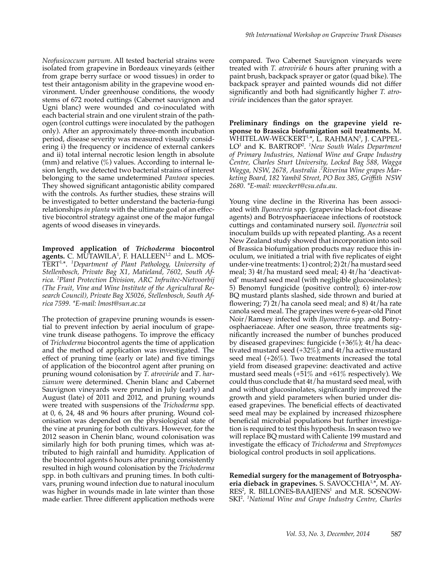*Neofusicoccum parvum*. All tested bacterial strains were isolated from grapevine in Bordeaux vineyards (either from grape berry surface or wood tissues) in order to test their antagonism ability in the grapevine wood environment. Under greenhouse conditions, the woody stems of 672 rooted cuttings (Cabernet sauvignon and Ugni blanc) were wounded and co-inoculated with each bacterial strain and one virulent strain of the pathogen (control cuttings were inoculated by the pathogen only). After an approximately three-month incubation period, disease severity was measured visually considering i) the frequency or incidence of external cankers and ii) total internal necrotic lesion length in absolute (mm) and relative  $(\%)$  values. According to internal lesion length, we detected two bacterial strains of interest belonging to the same undetermined *Pantoea* species. They showed significant antagonistic ability compared with the controls. As further studies, these strains will be investigated to better understand the bacteria-fungi relationships *in planta* with the ultimate goal of an effective biocontrol strategy against one of the major fungal agents of wood diseases in vineyards.

**Improved application of** *Trichoderma* **biocontrol agents.** C. MUTAWILA<sup>1</sup>, F. HALLEEN<sup>1,2</sup> and L. MOS-TERT1,\*. *<sup>1</sup> Department of Plant Pathology, University of Stellenbosch, Private Bag X1, Matieland, 7602, South Africa. <sup>2</sup> Plant Protection Division, ARC Infruitec-Nietvoorbij (The Fruit, Vine and Wine Institute of the Agricultural Research Council), Private Bag X5026, Stellenbosch, South Africa 7599. \*E-mail: lmost@sun.ac.za*

The protection of grapevine pruning wounds is essential to prevent infection by aerial inoculum of grapevine trunk disease pathogens. To improve the efficacy of *Trichoderma* biocontrol agents the time of application and the method of application was investigated. The effect of pruning time (early or late) and five timings of application of the biocontrol agent after pruning on pruning wound colonisation by *T. atroviride* and *T*. *harzianum* were determined. Chenin blanc and Cabernet Sauvignon vineyards were pruned in July (early) and August (late) of 2011 and 2012, and pruning wounds were treated with suspensions of the *Trichoderma* spp. at 0, 6, 24, 48 and 96 hours after pruning. Wound colonisation was depended on the physiological state of the vine at pruning for both cultivars. However, for the 2012 season in Chenin blanc, wound colonisation was similarly high for both pruning times, which was attributed to high rainfall and humidity. Application of the biocontrol agents 6 hours after pruning consistently resulted in high wound colonisation by the *Trichoderma* spp. in both cultivars and pruning times. In both cultivars, pruning wound infection due to natural inoculum was higher in wounds made in late winter than those made earlier. Three different application methods were

compared. Two Cabernet Sauvignon vineyards were treated with *T. atroviride* 6 hours after pruning with a paint brush, backpack sprayer or gator (quad bike). The backpack sprayer and painted wounds did not differ significantly and both had significantly higher *T. atroviride* incidences than the gator sprayer.

**Preliminary findings on the grapevine yield response to Brassica biofumigation soil treatments.** M. WHITELAW-WECKERT<sup>1,\*</sup>, L. RAHMAN<sup>1</sup>, J. CAPPEL-LO<sup>1</sup> and K. BARTROP<sup>2</sup>. <sup>1</sup>New South Wales Department *of Primary Industries, National Wine and Grape Industry Centre, Charles Sturt University, Locked Bag 588, Wagga Wagga, NSW, 2678, Australia .<sup>2</sup> Riverina Wine grapes Marketing Board, 182 Yambil Street, PO Box 385, Griffith NSW 2680. \*E-mail: mweckert@csu.edu.au.*

Young vine decline in the Riverina has been associated with *Ilyonectria* spp. (grapevine black-foot disease agents) and Botryosphaeriaceae infections of rootstock cuttings and contaminated nursery soil. *Ilyonectria* soil inoculum builds up with repeated planting. As a recent New Zealand study showed that incorporation into soil of Brassica biofumigation products may reduce this inoculum, we initiated a trial with five replicates of eight under-vine treatments: 1) control; 2) 2t/ha mustard seed meal; 3) 4t/ha mustard seed meal; 4) 4t/ha 'deactivated' mustard seed meal (with negligible glucosinolates); 5) Benomyl fungicide (positive control); 6) inter-row BQ mustard plants slashed, side thrown and buried at flowering; 7) 2t/ha canola seed meal; and 8) 4t/ha rate canola seed meal. The grapevines were 6-year-old Pinot Noir/Ramsey infected with *Ilyonectria* spp. and Botryosphaeriaceae. After one season, three treatments significantly increased the number of bunches produced by diseased grapevines: fungicide (+36%); 4t/ha deactivated mustard seed (+32%); and 4t/ha active mustard seed meal (+26%). Two treatments increased the total yield from diseased grapevine: deactivated and active mustard seed meals  $(+51\% \text{ and } +61\% \text{ respectively})$ . We could thus conclude that 4t/ha mustard seed meal, with and without glucosinolates, significantly improved the growth and yield parameters when buried under diseased grapevines. The beneficial effects of deactivated seed meal may be explained by increased rhizosphere beneficial microbial populations but further investigation is required to test this hypothesis. In season two we will replace BQ mustard with Caliente 199 mustard and investigate the efficacy of *Trichoderma* and *Streptomyces* biological control products in soil applications.

**Remedial surgery for the management of Botryosphaeria dieback in grapevines.** S. SAVOCCHIA1,\*, M. AY- $RES<sup>2</sup>$ , R. BILLONES-BAAIJENS<sup>1</sup> and M.R. SOSNOW-SKI<sup>2</sup> . *1 National Wine and Grape Industry Centre, Charles*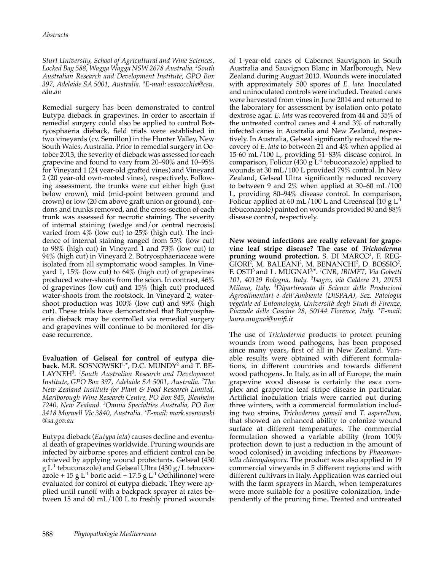*Sturt University, School of Agricultural and Wine Sciences, Locked Bag 588, Wagga Wagga NSW 2678 Australia. <sup>2</sup> South Australian Research and Development Institute, GPO Box 397, Adelaide SA 5001, Australia. \*E-mail: ssavocchia@csu. edu.au*

Remedial surgery has been demonstrated to control Eutypa dieback in grapevines. In order to ascertain if remedial surgery could also be applied to control Botryosphaeria dieback, field trials were established in two vineyards (cv. Semillon) in the Hunter Valley, New South Wales, Australia. Prior to remedial surgery in October 2013, the severity of dieback was assessed for each grapevine and found to vary from 20–90% and 10–95% for Vineyard 1 (24 year-old grafted vines) and Vineyard 2 (20 year-old own-rooted vines), respectively. Following assessment, the trunks were cut either high (just below crown), mid (mid-point between ground and crown) or low (20 cm above graft union or ground), cordons and trunks removed, and the cross-section of each trunk was assessed for necrotic staining. The severity of internal staining (wedge and/or central necrosis) varied from 4% (low cut) to 25% (high cut). The incidence of internal staining ranged from 55% (low cut) to 98% (high cut) in Vineyard 1 and 73% (low cut) to 94% (high cut) in Vineyard 2. Botryosphaeriaceae were isolated from all symptomatic wood samples. In Vineyard 1, 15% (low cut) to 64% (high cut) of grapevines produced water-shoots from the scion. In contrast, 46% of grapevines (low cut) and 15% (high cut) produced water-shoots from the rootstock. In Vineyard 2, watershoot production was 100% (low cut) and 99% (high cut). These trials have demonstrated that Botryosphaeria dieback may be controlled via remedial surgery and grapevines will continue to be monitored for disease recurrence.

**Evaluation of Gelseal for control of eutypa dieback.** M.R. SOSNOWSKI<sup>1,\*</sup>, D.C. MUNDY<sup>2</sup> and T. BE-LAYNEH<sup>3</sup> . *1 South Australian Research and Development Institute, GPO Box 397, Adelaide SA 5001, Australia. <sup>2</sup> The New Zealand Institute for Plant & Food Research Limited, Marlborough Wine Research Centre, PO Box 845, Blenheim 7240, New Zealand. <sup>3</sup> Omnia Specialties Australia, PO Box 3418 Morwell Vic 3840, Australia. \*E-mail: mark.sosnowski @sa.gov.au*

Eutypa dieback (*Eutypa lata*) causes decline and eventual death of grapevines worldwide. Pruning wounds are infected by airborne spores and efficient control can be achieved by applying wound protectants. Gelseal (430 g  $L^{-1}$  tebuconazole) and Gelseal Ultra (430 g/L tebuconazole + 15 g  $L^{-1}$  boric acid + 17.5 g  $L^{-1}$  Octhilinone) were evaluated for control of eutypa dieback. They were applied until runoff with a backpack sprayer at rates between 15 and 60 mL/100 L to freshly pruned wounds of 1-year-old canes of Cabernet Sauvignon in South Australia and Sauvignon Blanc in Marlborough, New Zealand during August 2013. Wounds were inoculated with approximately 500 spores of *E. lata.* Inoculated and uninoculated controls were included. Treated canes were harvested from vines in June 2014 and returned to the laboratory for assessment by isolation onto potato dextrose agar. *E. lata* was recovered from 44 and 35% of the untreated control canes and 4 and 3% of naturally infected canes in Australia and New Zealand, respectively. In Australia, Gelseal significantly reduced the recovery of *E. lata* to between 21 and 4% when applied at 15-60 mL/100 L, providing 51–83% disease control. In comparison, Folicur (430 g  $L^{-1}$  tebuconazole) applied to wounds at 30 mL/100 L provided 79% control. In New Zealand, Gelseal Ultra significantly reduced recovery to between 9 and 2% when applied at 30–60 mL/100 L, providing 80–94% disease control. In comparison, Folicur applied at 60 mL/100 L and Greenseal (10 g  $L^{-1}$ tebuconazole) painted on wounds provided 80 and 88% disease control, respectively.

**New wound infections are really relevant for grapevine leaf stripe disease? The case of** *Trichoderma* pruning wound protection. S. DI MARCO<sup>1</sup>, F. REG- $GIORI<sup>2</sup>, M. BALEANI<sup>2</sup>, M. BENANCHI<sup>2</sup>, D. BOSSIO<sup>2</sup>,$ F. OSTI<sup>3</sup>and L. MUGNAI3,\*. *<sup>1</sup> CNR, IBIMET, Via Gobetti 101, 40129 Bologna, Italy. <sup>2</sup> Isagro, via Caldera 21, 20153 Milano, Italy. <sup>3</sup> Dipartimento di Scienze delle Produzioni Agroalimentari e dell'Ambiente (DiSPAA), Sez. Patologia vegetale ed Entomologia, Università degli Studi di Firenze, Piazzale delle Cascine 28, 50144 Florence, Italy. \*E-mail: laura.mugnai@unifi.it*

The use of *Trichoderma* products to protect pruning wounds from wood pathogens, has been proposed since many years, first of all in New Zealand. Variable results were obtained with different formulations, in different countries and towards different wood pathogens. In Italy, as in all of Europe, the main grapevine wood disease is certainly the esca complex and grapevine leaf stripe disease in particular. Artificial inoculation trials were carried out during three winters, with a commercial formulation including two strains, *Trichoderma gamsii* and *T. asperellum,*  that showed an enhanced ability to colonize wound surface at different temperatures. The commercial formulation showed a variable ability (from 100% protection down to just a reduction in the amount of wood colonised) in avoiding infections by *Phaeomoniella chlamydospora*. The product was also applied in 19 commercial vineyards in 5 different regions and with different cultivars in Italy. Application was carried out with the farm sprayers in March, when temperatures were more suitable for a positive colonization, independently of the pruning time. Treated and untreated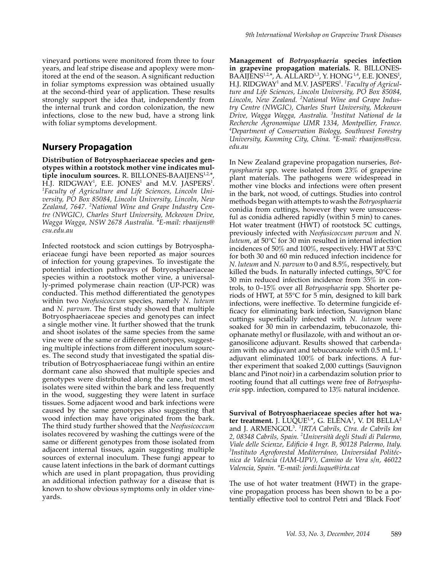vineyard portions were monitored from three to four years, and leaf stripe disease and apoplexy were monitored at the end of the season. A significant reduction in foliar symptoms expression was obtained usually at the second-third year of application. These results strongly support the idea that, independently from the internal trunk and cordon colonization, the new infections, close to the new bud, have a strong link with foliar symptoms development.

## **Nursery Propagation**

**Distribution of Botryosphaeriaceae species and genotypes within a rootstock mother vine indicates mul**tiple inoculum sources. R. BILLONES-BAAIJENS<sup>1,2,:</sup> H.J. RIDGWAY<sup>1</sup>, E.E. JONES<sup>1</sup> and M.V. JASPERS<sup>1</sup>.<br><sup>1</sup>Eaculty of Agriculture and Life Sciences, Lincoln Uni-*Faculty of Agriculture and Life Sciences, Lincoln University, PO Box 85084, Lincoln University, Lincoln, New Zealand, 7647. <sup>2</sup> National Wine and Grape Industry Centre (NWGIC), Charles Sturt University, Mckeown Drive, Wagga Wagga, NSW 2678 Australia. \*E-mail: rbaaijens@ csu.edu.au*

Infected rootstock and scion cuttings by Botryosphaeriaceae fungi have been reported as major sources of infection for young grapevines. To investigate the potential infection pathways of Botryosphaeriaceae species within a rootstock mother vine, a universally-primed polymerase chain reaction (UP-PCR) was conducted. This method differentiated the genotypes within two *Neofusicoccum* species, namely *N. luteum* and *N. parvum*. The first study showed that multiple Botryosphaeriaceae species and genotypes can infect a single mother vine. It further showed that the trunk and shoot isolates of the same species from the same vine were of the same or different genotypes, suggesting multiple infections from different inoculum sources. The second study that investigated the spatial distribution of Botryosphaeriaceae fungi within an entire dormant cane also showed that multiple species and genotypes were distributed along the cane, but most isolates were sited within the bark and less frequently in the wood, suggesting they were latent in surface tissues. Some adjacent wood and bark infections were caused by the same genotypes also suggesting that wood infection may have originated from the bark. The third study further showed that the *Neofusicoccum*  isolates recovered by washing the cuttings were of the same or different genotypes from those isolated from adjacent internal tissues, again suggesting multiple sources of external inoculum. These fungi appear to cause latent infections in the bark of dormant cuttings which are used in plant propagation, thus providing an additional infection pathway for a disease that is known to show obvious symptoms only in older vineyards.

**Management of** *Botryosphaeria* **species infection in grapevine propagation materials.** R. BILLONES-BAAIJENS<sup>1,2,\*</sup>, A. ALLARD<sup>1,3</sup>, Y. HONG<sup>1,4</sup>, E.E. JONES<sup>1</sup>, H.J. RIDGWAY<sup>1</sup> and M.V. JASPERS<sup>1</sup> . *1 Faculty of Agriculture and Life Sciences, Lincoln University, PO Box 85084, Lincoln, New Zealand. <sup>2</sup> National Wine and Grape Industry Centre (NWGIC), Charles Sturt University, Mckeown Drive, Wagga Wagga, Australia. <sup>3</sup> Institut National de la Recherche Agronomique UMR 1334, Montpellier, France. 4 Department of Conservation Biology, Southwest Forestry University, Kunming City, China. \*E-mail: rbaaijens@csu. edu.au*

In New Zealand grapevine propagation nurseries, *Botryosphaeria* spp. were isolated from 23% of grapevine plant materials. The pathogens were widespread in mother vine blocks and infections were often present in the bark, not wood, of cuttings. Studies into control methods began with attempts to wash the *Botryosphaeria* conidia from cuttings, however they were unsuccessful as conidia adhered rapidly (within 5 min) to canes. Hot water treatment (HWT) of rootstock 5C cuttings, previously infected with *Neofusicoccum parvum* and *N. luteum*, at 50°C for 30 min resulted in internal infection incidences of 50% and 100%, respectively. HWT at 53°C for both 30 and 60 min reduced infection incidence for *N. luteum* and *N. parvum* to 0 and 8.5%, respectively, but killed the buds. In naturally infected cuttings, 50°C for 30 min reduced infection incidence from 35% in controls, to 0–15% over all *Botryosphaeria* spp*.* Shorter periods of HWT, at 55°C for 5 min, designed to kill bark infections, were ineffective. To determine fungicide efficacy for eliminating bark infection, Sauvignon blanc cuttings superficially infected with *N. luteum* were soaked for 30 min in carbendazim, tebuconazole, thiophanate methyl or flusilazole, with and without an organosilicone adjuvant. Results showed that carbendazim with no adjuvant and tebuconazole with  $0.5$  mL  $L^{-1}$ adjuvant eliminated 100% of bark infections. A further experiment that soaked 2,000 cuttings (Sauvignon blanc and Pinot noir) in a carbendazim solution prior to rooting found that all cuttings were free of *Botryosphaeria* spp. infection, compared to 13% natural incidence.

**Survival of Botryosphaeriaceae species after hot water treatment.** J. LUQUE<sup>1,\*</sup>, G. ELENA<sup>1</sup>, V. DI BELLA<sup>2</sup> and J. ARMENGOL<sup>3</sup> . *1 IRTA Cabrils, Ctra. de Cabrils km 2, 08348 Cabrils, Spain. <sup>2</sup> Università degli Studi di Palermo, Viale delle Scienze, Edificio 4 Ingr. B, 90128 Palermo, Italy. 3 Instituto Agroforestal Mediterráneo, Universidad Politécnica de Valencia (IAM-UPV), Camino de Vera s/n, 46022 Valencia, Spain. \*E-mail: jordi.luque@irta.cat*

The use of hot water treatment (HWT) in the grapevine propagation process has been shown to be a potentially effective tool to control Petri and 'Black Foot'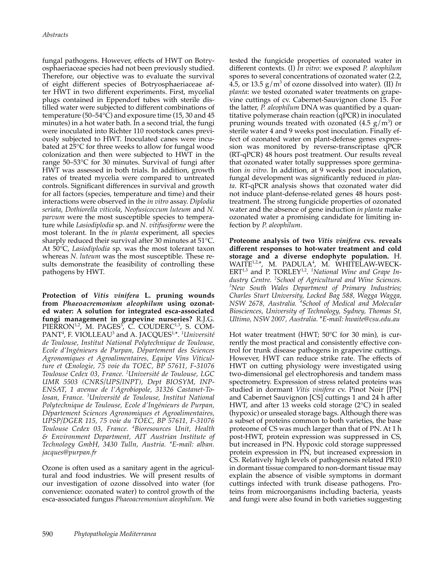fungal pathogens. However, effects of HWT on Botryosphaeriaceae species had not been previously studied. Therefore, our objective was to evaluate the survival of eight different species of Botryosphaeriaceae after HWT in two different experiments. First, mycelial plugs contained in Eppendorf tubes with sterile distilled water were subjected to different combinations of temperature (50–54°C) and exposure time (15, 30 and 45 minutes) in a hot water bath. In a second trial, the fungi were inoculated into Richter 110 rootstock canes previously subjected to HWT. Inoculated canes were incubated at 25°C for three weeks to allow for fungal wood colonization and then were subjected to HWT in the range 50–53°C for 30 minutes. Survival of fungi after HWT was assessed in both trials. In addition, growth rates of treated mycelia were compared to untreated controls. Significant differences in survival and growth for all factors (species, temperature and time) and their interactions were observed in the *in vitro* assay. *Diplodia seriata*, *Dothiorella viticola*, *Neofusicoccum luteum* and *N. parvum* were the most susceptible species to temperature while *Lasiodiplodia* sp. and *N. vitifusiforme* were the most tolerant. In the *in planta* experiment, all species sharply reduced their survival after 30 minutes at 51°C. At 50°C, *Lasiodiplodia* sp. was the most tolerant taxon whereas *N. luteum* was the most susceptible. These results demonstrate the feasibility of controlling these pathogens by HWT.

**Protection of** *Vitis vinifera* **L. pruning wounds from** *Phaeoacremonium aleophilum* **using ozonated water: A solution for integrated esca-associated fungi management in grapevine nurseries?** R.J.G. PIERRON<sup>1,2</sup>, M. PAGES<sup>3</sup>, C. COUDERC<sup>1,3</sup>, S. COM-PANT<sup>4</sup> , F. VIOLLEAU<sup>3</sup> and A. JACQUES1,\*. *<sup>1</sup> Université de Toulouse, Institut National Polytechnique de Toulouse, Ecole d'Ingénieurs de Purpan, Département des Sciences Agronomiques et Agroalimentaires, Equipe Vins Viticulture et Œnologie, 75 voie du TOEC, BP 57611, F-31076 Toulouse Cedex 03, France. <sup>2</sup> Université de Toulouse, LGC UMR 5503 (CNRS/UPS/INPT), Dept BIOSYM, INP-ENSAT, 1 avenue de l'Agrobiopole, 31326 Castanet-Tolosan, France. <sup>3</sup> Université de Toulouse, Institut National Polytechnique de Toulouse, Ecole d'Ingénieurs de Purpan, Département Sciences Agronomiques et Agroalimentaires, UPSP/DGER 115, 75 voie du TOEC, BP 57611, F-31076 Toulouse Cedex 03, France. <sup>4</sup> Bioresources Unit, Health & Environment Department, AIT Austrian Institute of Technology GmbH, 3430 Tulln, Austria. \*E-mail: alban. jacques@purpan.fr*

Ozone is often used as a sanitary agent in the agricultural and food industries. We will present results of our investigation of ozone dissolved into water (for convenience: ozonated water) to control growth of the esca-associated fungus *Phaeoacremonium aleophilum*. We

tested the fungicide properties of ozonated water in different contexts. (I) *In vitro*: we exposed *P. aleophilum* spores to several concentrations of ozonated water (2.2, 4.5, or 13.5  $g/m^3$  of ozone dissolved into water). (II) *In planta*: we tested ozonated water treatments on grapevine cuttings of cv. Cabernet-Sauvignon clone 15. For the latter, *P. aleophilum* DNA was quantified by a quantitative polymerase chain reaction (qPCR) in inoculated pruning wounds treated with ozonated  $(4.5 \text{ g/m}^3)$  or sterile water 4 and 9 weeks post inoculation. Finally effect of ozonated water on plant-defense genes expression was monitored by reverse-transcriptase qPCR (RT-qPCR) 48 hours post treatment. Our results reveal that ozonated water totally suppresses spore germination *in vitro*. In addition, at 9 weeks post inoculation, fungal development was significantly reduced *in planta*. RT-qPCR analysis shows that ozonated water did not induce plant-defense-related genes 48 hours posttreatment. The strong fungicide properties of ozonated water and the absence of gene induction *in planta* make ozonated water a promising candidate for limiting infection by *P. aleophilum*.

**Proteome analysis of two** *Vitis vinifera* **cvs. reveals different responses to hot-water treatment and cold storage and a diverse endophyte population.** H. WAITE<sup>1,2,\*</sup>, M. PADULA<sup>4</sup>, M. WHITELAW-WECK-ERT<sup>1,3</sup> and P. TORLEY<sup>1,2</sup>. <sup>1</sup>National Wine and Grape In*dustry Centre. <sup>2</sup> School of Agricultural and Wine Sciences. <sup>3</sup> New South Wales Department of Primary Industries; Charles Sturt University, Locked Bag 588, Wagga Wagga, NSW 2678, Australia. <sup>4</sup> School of Medical and Molecular Biosciences, University of Technology, Sydney, Thomas St, Ultimo, NSW 2007, Australia*. \**E-mail: hwaite@csu.edu.au*

Hot water treatment (HWT; 50°C for 30 min), is currently the most practical and consistently effective control for trunk disease pathogens in grapevine cuttings. However, HWT can reduce strike rate. The effects of HWT on cutting physiology were investigated using two-dimensional gel electrophoresis and tandem mass spectrometry. Expression of stress related proteins was studied in dormant *Vitis vinifera* cv. Pinot Noir [PN] and Cabernet Sauvignon [CS] cuttings 1 and 24 h after HWT, and after 13 weeks cold storage (2°C) in sealed (hypoxic) or unsealed storage bags. Although there was a subset of proteins common to both varieties, the base proteome of CS was much larger than that of PN. At 1 h post-HWT, protein expression was suppressed in CS, but increased in PN. Hypoxic cold storage suppressed protein expression in PN, but increased expression in CS. Relatively high levels of pathogenesis related PR10 in dormant tissue compared to non-dormant tissue may explain the absence of visible symptoms in dormant cuttings infected with trunk disease pathogens. Proteins from microorganisms including bacteria, yeasts and fungi were also found in both varieties suggesting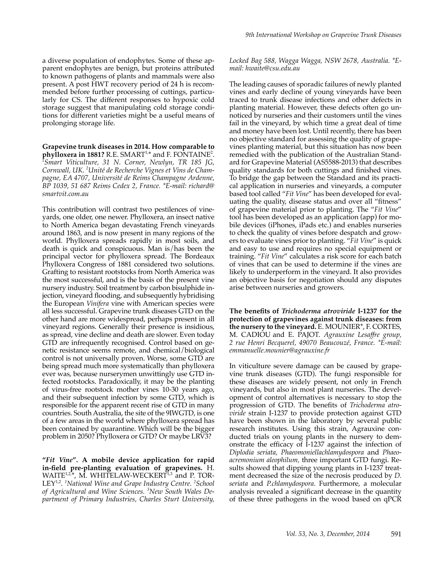a diverse population of endophytes. Some of these apparent endophytes are benign, but proteins attributed to known pathogens of plants and mammals were also present. A post HWT recovery period of 24 h is recommended before further processing of cuttings, particularly for CS. The different responses to hypoxic cold storage suggest that manipulating cold storage conditions for different varieties might be a useful means of prolonging storage life.

**Grapevine trunk diseases in 2014. How comparable to phylloxera in 1881?** R.E. SMART<sup>1,\*</sup> and F. FONTAINE<sup>2</sup>.<br><sup>1</sup>Smart, Viticulture, 31 N. Corner, Newlyn, TR. 185 IC. *Smart Viticulture, 31 N. Corner, Newlyn, TR 185 JG, Cornwall, UK. <sup>2</sup> Unité de Recherche Vignes et Vins de Champagne, EA 4707, Université de Reims Champagne Ardenne, BP 1039, 51 687 Reims Cedex 2, France. \*E-mail: richard@ smartvit.com.au*

This contribution will contrast two pestilences of vineyards, one older, one newer. Phylloxera, an insect native to North America began devastating French vineyards around 1863, and is now present in many regions of the world. Phylloxera spreads rapidly in most soils, and death is quick and conspicuous. Man is/has been the principal vector for phylloxera spread. The Bordeaux Phylloxera Congress of 1881 considered two solutions. Grafting to resistant rootstocks from North America was the most successful, and is the basis of the present vine nursery industry. Soil treatment by carbon bisulphide injection, vineyard flooding, and subsequently hybridising the European *Vinifera* vine with American species were all less successful. Grapevine trunk diseases GTD on the other hand are more widespread, perhaps present in all vineyard regions. Generally their presence is insidious, as spread, vine decline and death are slower. Even today GTD are infrequently recognised. Control based on genetic resistance seems remote, and chemical/biological control is not universally proven. Worse, some GTD are being spread much more systematically than phylloxera ever was, because nurserymen unwittingly use GTD infected rootstocks. Paradoxically, it may be the planting of virus-free rootstock mother vines 10-30 years ago, and their subsequent infection by some GTD, which is responsible for the apparent recent rise of GTD in many countries. South Australia, the site of the 9IWGTD, is one of a few areas in the world where phylloxera spread has been contained by quarantine. Which will be the bigger problem in 2050? Phylloxera or GTD? Or maybe LRV3?

**"***Fit Vine***". A mobile device application for rapid in-field pre-planting evaluation of grapevines.** H. WAITE<sup>1,2,\*</sup>, M. WHITELAW-WECKERT<sup>1,3</sup> and P. TOR-LEY1,2. *<sup>1</sup> National Wine and Grape Industry Centre. <sup>2</sup> School of Agricultural and Wine Sciences. <sup>3</sup> New South Wales Department of Primary Industries, Charles Sturt University,* 

*Locked Bag 588, Wagga Wagga, NSW 2678, Australia. \*Email: hwaite@csu.edu.au*

The leading causes of sporadic failures of newly planted vines and early decline of young vineyards have been traced to trunk disease infections and other defects in planting material. However, these defects often go unnoticed by nurseries and their customers until the vines fail in the vineyard, by which time a great deal of time and money have been lost. Until recently, there has been no objective standard for assessing the quality of grapevines planting material, but this situation has now been remedied with the publication of the Australian Standard for Grapevine Material (AS5588-2013) that describes quality standards for both cuttings and finished vines. To bridge the gap between the Standard and its practical application in nurseries and vineyards, a computer based tool called "*Fit Vine*" has been developed for evaluating the quality, disease status and over all "fitness" of grapevine material prior to planting. The "*Fit Vine*" tool has been developed as an application (app) for mobile devices (iPhones, iPads etc.) and enables nurseries to check the quality of vines before despatch and growers to evaluate vines prior to planting. "*Fit Vine*" is quick and easy to use and requires no special equipment or training. "*Fit Vine*" calculates a risk score for each batch of vines that can be used to determine if the vines are likely to underperform in the vineyard. It also provides an objective basis for negotiation should any disputes arise between nurseries and growers.

**The benefits of** *Trichoderma atroviride* **I-1237 for the protection of grapevines against trunk diseases: from the nursery to the vineyard.** E. MOUNIER\*, F. CORTES, M. CADIOU and E. PAJOT. *Agrauxine Lesaffre group, 2 rue Henri Becquerel, 49070 Beaucouzé, France. \*E-mail: emmanuelle.mounier@agrauxine.fr*

In viticulture severe damage can be caused by grapevine trunk diseases (GTD). The fungi responsible for these diseases are widely present, not only in French vineyards, but also in most plant nurseries. The development of control alternatives is necessary to stop the progression of GTD. The benefits of *Trichoderma atroviride* strain I-1237 to provide protection against GTD have been shown in the laboratory by several public research institutes. Using this strain, Agrauxine conducted trials on young plants in the nursery to demonstrate the efficacy of I-1237 against the infection of *Diplodia seriata, Phaeomoniellachlamydospora* and *Phaeoacremonium aleophilum,* three important GTD fungi. Results showed that dipping young plants in I-1237 treatment decreased the size of the necrosis produced by *D. seriata* and *P.chlamydospora*. Furthermore, a molecular analysis revealed a significant decrease in the quantity of these three pathogens in the wood based on qPCR